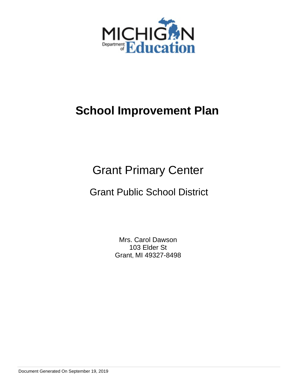

# Grant Primary Center

# Grant Public School District

Mrs. Carol Dawson 103 Elder St Grant, MI 49327-8498

Document Generated On September 19, 2019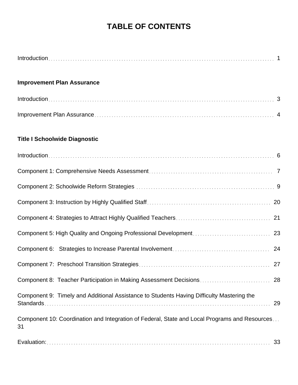# **TABLE OF CONTENTS**

| <b>Improvement Plan Assurance</b>                                                                   |
|-----------------------------------------------------------------------------------------------------|
|                                                                                                     |
|                                                                                                     |
| <b>Title I Schoolwide Diagnostic</b>                                                                |
|                                                                                                     |
|                                                                                                     |
|                                                                                                     |
|                                                                                                     |
|                                                                                                     |
|                                                                                                     |
|                                                                                                     |
|                                                                                                     |
|                                                                                                     |
| Component 9: Timely and Additional Assistance to Students Having Difficulty Mastering the<br>29     |
| Component 10: Coordination and Integration of Federal, State and Local Programs and Resources<br>31 |
| 33                                                                                                  |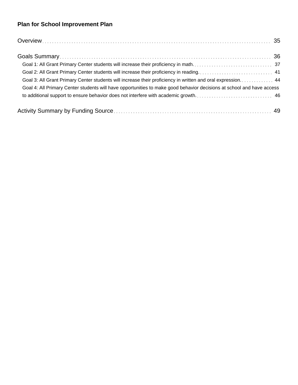## **Plan for School Improvement Plan**

| Goal 3: All Grant Primary Center students will increase their proficiency in written and oral expression 44           |  |
|-----------------------------------------------------------------------------------------------------------------------|--|
| Goal 4: All Primary Center students will have opportunities to make good behavior decisions at school and have access |  |
|                                                                                                                       |  |
|                                                                                                                       |  |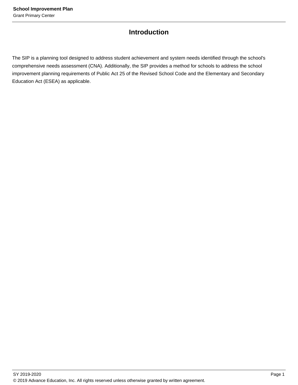### **Introduction**

The SIP is a planning tool designed to address student achievement and system needs identified through the school's comprehensive needs assessment (CNA). Additionally, the SIP provides a method for schools to address the school improvement planning requirements of Public Act 25 of the Revised School Code and the Elementary and Secondary Education Act (ESEA) as applicable.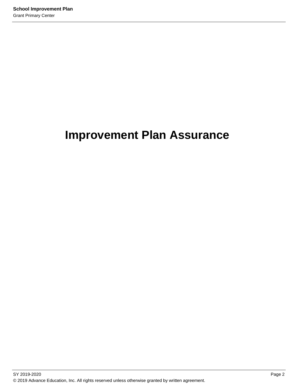# **Improvement Plan Assurance**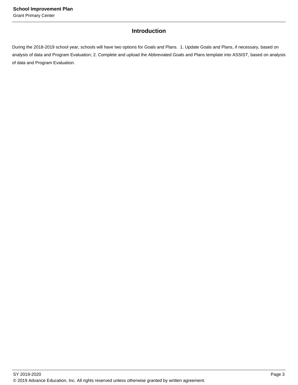### **Introduction**

During the 2018-2019 school year, schools will have two options for Goals and Plans. 1. Update Goals and Plans, if necessary, based on analysis of data and Program Evaluation; 2. Complete and upload the Abbreviated Goals and Plans template into ASSIST, based on analysis of data and Program Evaluation.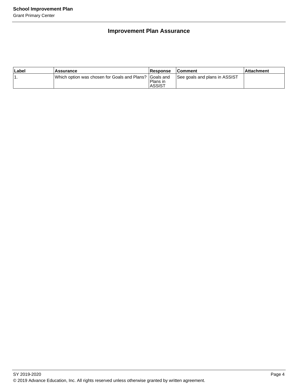### **Improvement Plan Assurance**

| ∣Label | <b>Assurance</b>                                        | Response                  | <b>Comment</b>                | ⊺Attachment |
|--------|---------------------------------------------------------|---------------------------|-------------------------------|-------------|
|        | Which option was chosen for Goals and Plans? IGoals and | Plans in<br><b>ASSIST</b> | See goals and plans in ASSIST |             |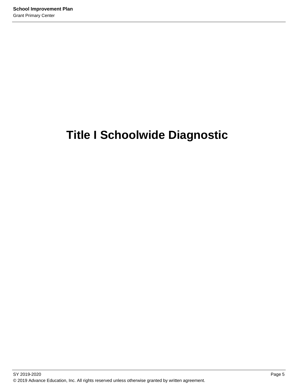# **Title I Schoolwide Diagnostic**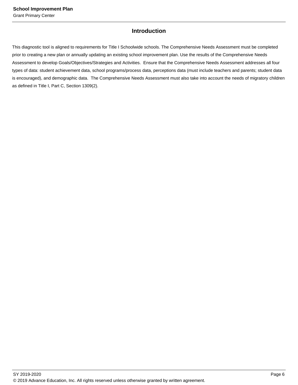### **Introduction**

This diagnostic tool is aligned to requirements for Title I Schoolwide schools. The Comprehensive Needs Assessment must be completed prior to creating a new plan or annually updating an existing school improvement plan. Use the results of the Comprehensive Needs Assessment to develop Goals/Objectives/Strategies and Activities. Ensure that the Comprehensive Needs Assessment addresses all four types of data: student achievement data, school programs/process data, perceptions data (must include teachers and parents; student data is encouraged), and demographic data. The Comprehensive Needs Assessment must also take into account the needs of migratory children as defined in Title I, Part C, Section 1309(2).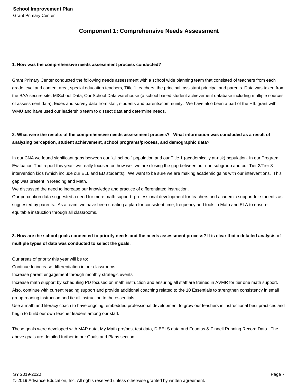### **Component 1: Comprehensive Needs Assessment**

#### **1. How was the comprehensive needs assessment process conducted?**

Grant Primary Center conducted the following needs assessment with a school wide planning team that consisted of teachers from each grade level and content area, special education teachers, Title 1 teachers, the principal, assistant principal and parents. Data was taken from the BAA secure site, MISchool Data, Our School Data warehouse (a school based student achievement database including multiple sources of assessment data), Eidex and survey data from staff, students and parents/community. We have also been a part of the HIL grant with WMU and have used our leadership team to dissect data and determine needs.

### **2. What were the results of the comprehensive needs assessment process? What information was concluded as a result of analyzing perception, student achievement, school programs/process, and demographic data?**

In our CNA we found significant gaps between our "all school" population and our Title 1 (academically at-risk) population. In our Program Evaluation Tool report this year--we really focused on how well we are closing the gap between our non subgroup and our Tier 2/Tier 3 intervention kids (which include our ELL and ED students). We want to be sure we are making academic gains with our interventions. This gap was present in Reading and Math.

We discussed the need to increase our knowledge and practice of differentiated instruction.

Our perception data suggested a need for more math support--professional development for teachers and academic support for students as suggested by parents. As a team, we have been creating a plan for consistent time, frequency and tools in Math and ELA to ensure equitable instruction through all classrooms.

### **3. How are the school goals connected to priority needs and the needs assessment process? It is clear that a detailed analysis of multiple types of data was conducted to select the goals.**

Our areas of priority this year will be to:

Continue to increase differentiation in our classrooms

Increase parent engagement through monthly strategic events

Increase math support by scheduling PD focused on math instruction and ensuring all staff are trained in AVMR for tier one math support. Also, continue with current reading support and provide additional coaching related to the 10 Essentials to strengthen consistency in small group reading instruction and tie all instruction to the essentials.

Use a math and literacy coach to have ongoing, embedded professional development to grow our teachers in instructional best practices and begin to build our own teacher leaders among our staff.

These goals were developed with MAP data, My Math pre/post test data, DIBELS data and Fountas & Pinnell Running Record Data. The above goals are detailed further in our Goals and Plans section.

SY 2019-2020 Page 7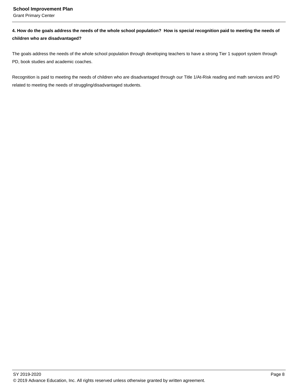Grant Primary Center

**4. How do the goals address the needs of the whole school population? How is special recognition paid to meeting the needs of children who are disadvantaged?**

The goals address the needs of the whole school population through developing teachers to have a strong Tier 1 support system through PD, book studies and academic coaches.

Recognition is paid to meeting the needs of children who are disadvantaged through our Title 1/At-Risk reading and math services and PD related to meeting the needs of struggling/disadvantaged students.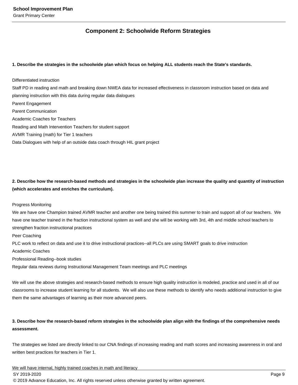### **Component 2: Schoolwide Reform Strategies**

#### **1. Describe the strategies in the schoolwide plan which focus on helping ALL students reach the State's standards.**

Differentiated instruction Staff PD in reading and math and breaking down NWEA data for increased effectiveness in classroom instruction based on data and planning instruction with this data during regular data dialogues Parent Engagement Parent Communication Academic Coaches for Teachers Reading and Math Intervention Teachers for student support AVMR Training (math) for Tier 1 teachers Data Dialogues with help of an outside data coach through HIL grant project

**2. Describe how the research-based methods and strategies in the schoolwide plan increase the quality and quantity of instruction (which accelerates and enriches the curriculum).**

#### Progress Monitoring

We are have one Champion trained AVMR teacher and another one being trained this summer to train and support all of our teachers. We have one teacher trained in the fraction instructional system as well and she will be working with 3rd, 4th and middle school teachers to strengthen fraction instructional practices

Peer Coaching

PLC work to reflect on data and use it to drive instructional practices--all PLCs are using SMART goals to drive instruction Academic Coaches

Professional Reading--book studies

Regular data reviews during Instructional Management Team meetings and PLC meetings

We will use the above strategies and research-based methods to ensure high quality instruction is modeled, practice and used in all of our classrooms to increase student learning for all students. We will also use these methods to identify who needs additional instruction to give them the same advantages of learning as their more advanced peers.

### **3. Describe how the research-based reform strategies in the schoolwide plan align with the findings of the comprehensive needs assessment.**

The strategies we listed are directly linked to our CNA findings of increasing reading and math scores and increasing awareness in oral and written best practices for teachers in Tier 1.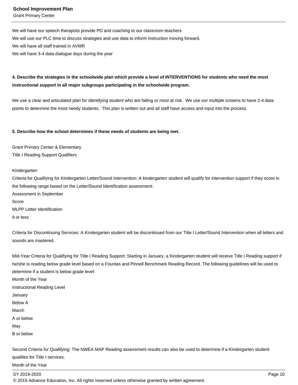Grant Primary Center

We will have our speech therapists provide PD and coaching to our classroom teachers We will use our PLC time to discuss strategies and use data to inform instruction moving forward. We will have all staff trained in AVMR We will have 3-4 data dialogue days during the year

### **4. Describe the strategies in the schoolwide plan which provide a level of INTERVENTIONS for students who need the most instructional support in all major subgroups participating in the schoolwide program.**

We use a clear and articulated plan for identifying student who are failing or most at risk. We use our multiple screens to have 2-4 data points to determine the most needy students. This plan is written out and all staff have access and input into the process.

#### **5. Describe how the school determines if these needs of students are being met.**

Grant Primary Center & Elementary Title I Reading Support Qualifiers

#### Kindergarten

Criteria for Qualifying for Kindergarten Letter/Sound Intervention: A kindergarten student will qualify for intervention support if they score in the following range based on the Letter/Sound Identification assessment: Assessment in September Score MLPP Letter Identification 9 or less

Criteria for Discontinuing Services: A Kindergarten student will be discontinued from our Title I Letter/Sound Intervention when all letters and sounds are mastered.

Mid-Year Criteria for Qualifying for Title I Reading Support: Starting in January, a Kindergarten student will receive Title I Reading support if he/she is reading below grade level based on a Fountas and Pinnell Benchmark Reading Record. The following guidelines will be used to determine if a student is below grade level: Month of the Year Instructional Reading Level January

Below A

March

A or below

May

B or below

Second Criteria for Qualifying: The NWEA MAP Reading assessment results can also be used to determine if a Kindergarten student qualifies for Title I services.

Month of the Year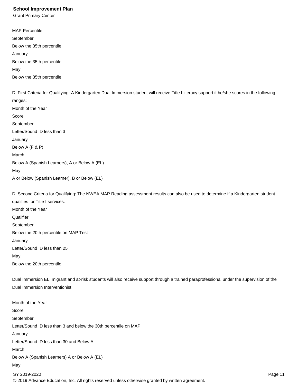Grant Primary Center

MAP Percentile September Below the 35th percentile January Below the 35th percentile May Below the 35th percentile DI First Criteria for Qualifying: A Kindergarten Dual Immersion student will receive Title I literacy support if he/she scores in the following ranges: Month of the Year Score September Letter/Sound ID less than 3 January

Below A (F & P) March Below A (Spanish Learners), A or Below A (EL) May A or Below (Spanish Learner), B or Below (EL)

DI Second Criteria for Qualifying: The NWEA MAP Reading assessment results can also be used to determine if a Kindergarten student qualifies for Title I services. Month of the Year

**Qualifier** September Below the 20th percentile on MAP Test January Letter/Sound ID less than 25 May Below the 20th percentile

Dual Immersion EL, migrant and at-risk students will also receive support through a trained paraprofessional under the supervision of the Dual Immersion Interventionist.

Month of the Year Score September Letter/Sound ID less than 3 and below the 30th percentile on MAP January Letter/Sound ID less than 30 and Below A March Below A (Spanish Learners) A or Below A (EL) May

SY 2019-2020 Page 11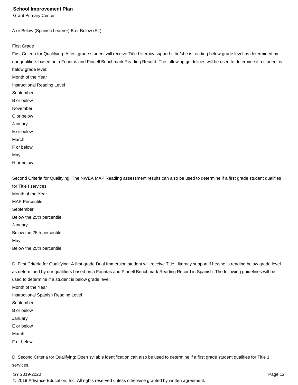Grant Primary Center

A or Below (Spanish Learner) B or Below (EL)

First Grade

First Criteria for Qualifying: A first grade student will receive Title I literacy support if he/she is reading below grade level as determined by our qualifiers based on a Fountas and Pinnell Benchmark Reading Record. The following guidelines will be used to determine if a student is below grade level: Month of the Year Instructional Reading Level September B or below November C or below January E or below March

F or below

May

H or below

Second Criteria for Qualifying: The NWEA MAP Reading assessment results can also be used to determine if a first grade student qualifies for Title I services. Month of the Year MAP Percentile September Below the 25th percentile January Below the 25th percentile May

Below the 25th percentile

DI First Criteria for Qualifying: A first grade Dual Immersion student will receive Title I literacy support if he/she is reading below grade level as determined by our qualifiers based on a Fountas and Pinnell Benchmark Reading Record in Spanish. The following guidelines will be used to determine if a student is below grade level: Month of the Year Instructional Spanish Reading Level September B or below January E or below March F or below

DI Second Criteria for Qualifying: Open syllable identification can also be used to determine if a first grade student qualifies for Title 1 services.

SY 2019-2020 Page 12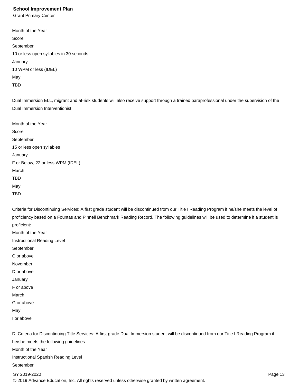Grant Primary Center

| Month of the Year                       |
|-----------------------------------------|
| Score                                   |
| September                               |
| 10 or less open syllables in 30 seconds |
| January                                 |
| 10 WPM or less (IDEL)                   |
| May                                     |
| TRD                                     |
|                                         |

Dual Immersion ELL, migrant and at-risk students will also receive support through a trained paraprofessional under the supervision of the Dual Immersion Interventionist.

| Month of the Year                 |
|-----------------------------------|
| Score                             |
| September                         |
| 15 or less open syllables         |
| January                           |
| F or Below, 22 or less WPM (IDEL) |
| March                             |
| TBD                               |
| May                               |
| TBD                               |

Criteria for Discontinuing Services: A first grade student will be discontinued from our Title I Reading Program if he/she meets the level of proficiency based on a Fountas and Pinnell Benchmark Reading Record. The following guidelines will be used to determine if a student is proficient:

Month of the Year Instructional Reading Level September C or above November D or above January F or above March G or above

May

I or above

DI Criteria for Discontinuing Title Services: A first grade Dual Immersion student will be discontinued from our Title I Reading Program if he/she meets the following guidelines: Month of the Year Instructional Spanish Reading Level

September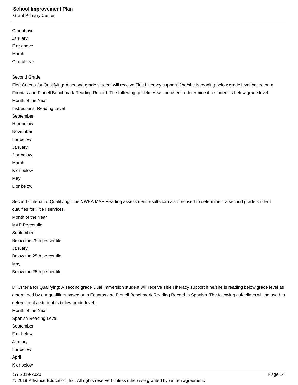Grant Primary Center

| C or above |  |  |  |
|------------|--|--|--|
| January    |  |  |  |
| F or above |  |  |  |
| March      |  |  |  |
| G or above |  |  |  |
|            |  |  |  |

### Second Grade

First Criteria for Qualifying: A second grade student will receive Title I literacy support if he/she is reading below grade level based on a Fountas and Pinnell Benchmark Reading Record. The following guidelines will be used to determine if a student is below grade level: Month of the Year Instructional Reading Level September H or below November I or below January J or below March K or below May L or below

Second Criteria for Qualifying: The NWEA MAP Reading assessment results can also be used to determine if a second grade student qualifies for Title I services. Month of the Year MAP Percentile September Below the 25th percentile January Below the 25th percentile May Below the 25th percentile

DI Criteria for Qualifying: A second grade Dual Immersion student will receive Title I literacy support if he/she is reading below grade level as determined by our qualifiers based on a Fountas and Pinnell Benchmark Reading Record in Spanish. The following guidelines will be used to determine if a student is below grade level: Month of the Year Spanish Reading Level September F or below January I or below April

K or below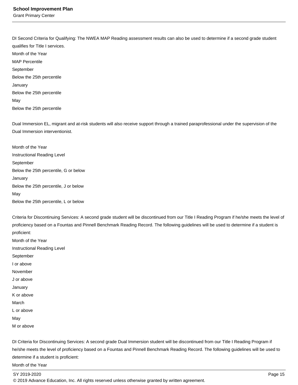Grant Primary Center

DI Second Criteria for Qualifying: The NWEA MAP Reading assessment results can also be used to determine if a second grade student qualifies for Title I services. Month of the Year MAP Percentile September Below the 25th percentile January Below the 25th percentile May Below the 25th percentile

Dual Immersion EL, migrant and at-risk students will also receive support through a trained paraprofessional under the supervision of the Dual Immersion interventionist.

Month of the Year Instructional Reading Level September Below the 25th percentile, G or below January Below the 25th percentile, J or below May Below the 25th percentile, L or below

Criteria for Discontinuing Services: A second grade student will be discontinued from our Title I Reading Program if he/she meets the level of proficiency based on a Fountas and Pinnell Benchmark Reading Record. The following guidelines will be used to determine if a student is proficient:

Month of the Year Instructional Reading Level September I or above November J or above January K or above March L or above May M or above

DI Criteria for Discontinuing Services: A second grade Dual Immersion student will be discontinued from our Title I Reading Program if he/she meets the level of proficiency based on a Fountas and Pinnell Benchmark Reading Record. The following guidelines will be used to determine if a student is proficient:

Month of the Year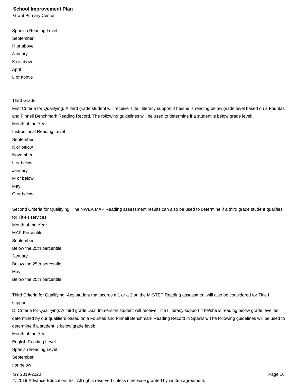Grant Primary Center

| September  |  |  |  |
|------------|--|--|--|
| H or above |  |  |  |
| January    |  |  |  |
| K or above |  |  |  |
| April      |  |  |  |
| L or above |  |  |  |

Third Grade

First Criteria for Qualifying: A third grade student will receive Title I literacy support if he/she is reading below grade level based on a Fountas and Pinnell Benchmark Reading Record. The following guidelines will be used to determine if a student is below grade level: Month of the Year Instructional Reading Level September K or below November L or below January M or below May

O or below

Second Criteria for Qualifying: The NWEA MAP Reading assessment results can also be used to determine if a third grade student qualifies for Title I services. Month of the Year MAP Percentile September

Below the 25th percentile

January

Below the 25th percentile

May

Below the 25th percentile

Third Criteria for Qualifying: Any student that scores a 1 or a 2 on the M-STEP Reading assessment will also be considered for Title I support.

DI Criteria for Qualifying: A third grade Dual Immersion student will receive Title I literacy support if he/she is reading below grade level as determined by our qualifiers based on a Fountas and Pinnell Benchmark Reading Record in Spanish. The following guidelines will be used to determine if a student is below grade level:

Month of the Year

English Reading Level

Spanish Reading Level

September

I or below

SY 2019-2020 Page 16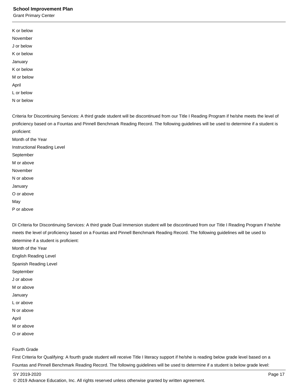Grant Primary Center

| November<br>J or below<br>K or below<br>January |
|-------------------------------------------------|
|                                                 |
|                                                 |
|                                                 |
|                                                 |
| K or below                                      |
| M or below                                      |
| April                                           |
| L or below                                      |
| N or below                                      |

Criteria for Discontinuing Services: A third grade student will be discontinued from our Title I Reading Program if he/she meets the level of proficiency based on a Fountas and Pinnell Benchmark Reading Record. The following guidelines will be used to determine if a student is proficient:

Month of the Year Instructional Reading Level September M or above November N or above January O or above May

P or above

DI Criteria for Discontinuing Services: A third grade Dual Immersion student will be discontinued from our Title I Reading Program if he/she meets the level of proficiency based on a Fountas and Pinnell Benchmark Reading Record. The following guidelines will be used to determine if a student is proficient:

Month of the Year

English Reading Level Spanish Reading Level September J or above M or above January L or above N or above April M or above

O or above

Fourth Grade

First Criteria for Qualifying: A fourth grade student will receive Title I literacy support if he/she is reading below grade level based on a Fountas and Pinnell Benchmark Reading Record. The following guidelines will be used to determine if a student is below grade level:

SY 2019-2020 Page 17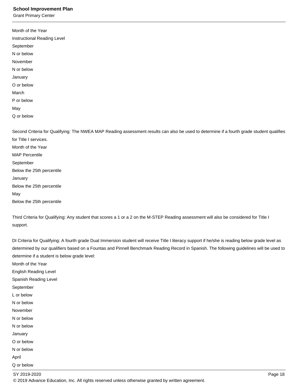Grant Primary Center

| Month of the Year                                                                                                                         |
|-------------------------------------------------------------------------------------------------------------------------------------------|
| Instructional Reading Level                                                                                                               |
| September                                                                                                                                 |
| N or below                                                                                                                                |
| November                                                                                                                                  |
| N or below                                                                                                                                |
| January                                                                                                                                   |
| O or below                                                                                                                                |
| March                                                                                                                                     |
| P or below                                                                                                                                |
| May                                                                                                                                       |
| Q or below                                                                                                                                |
|                                                                                                                                           |
| Second Criteria for Qualifying: The NWEA MAP Reading assessment results can also be used to determine if a fourth grade student qualifies |
| for Title I services.                                                                                                                     |
| Month of the Year                                                                                                                         |
| <b>MAP Percentile</b>                                                                                                                     |
| September                                                                                                                                 |
| Below the 25th percentile                                                                                                                 |
| January                                                                                                                                   |
| Below the 25th percentile                                                                                                                 |

May

Below the 25th percentile

Third Criteria for Qualifying: Any student that scores a 1 or a 2 on the M-STEP Reading assessment will also be considered for Title I support.

DI Criteria for Qualifying: A fourth grade Dual Immersion student will receive Title I literacy support if he/she is reading below grade level as determined by our qualifiers based on a Fountas and Pinnell Benchmark Reading Record in Spanish. The following guidelines will be used to determine if a student is below grade level:

Month of the Year

English Reading Level

Spanish Reading Level

September

L or below

N or below

November

N or below

N or below

January

O or below N or below

April Q or below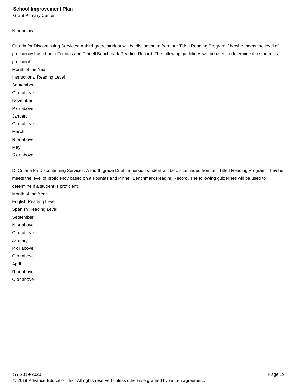Grant Primary Center

#### N or below

Criteria for Discontinuing Services: A third grade student will be discontinued from our Title I Reading Program if he/she meets the level of proficiency based on a Fountas and Pinnell Benchmark Reading Record. The following guidelines will be used to determine if a student is proficient:

Month of the Year Instructional Reading Level September O or above November P or above January Q or above March R or above May

S or above

DI Criteria for Discontinuing Services: A fourth grade Dual Immersion student will be discontinued from our Title I Reading Program if he/she meets the level of proficiency based on a Fountas and Pinnell Benchmark Reading Record. The following guidelines will be used to determine if a student is proficient:

Month of the Year

English Reading Level

Spanish Reading Level

September

N or above

O or above

January

P or above

O or above

April

R or above

O or above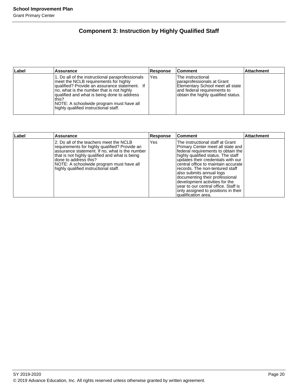### **Component 3: Instruction by Highly Qualified Staff**

| Label | Assurance                                                                                                                                                                                                                                                                                                                            | <b>Response</b> | <b>Comment</b>                                                                                                                                              | <b>Attachment</b> |
|-------|--------------------------------------------------------------------------------------------------------------------------------------------------------------------------------------------------------------------------------------------------------------------------------------------------------------------------------------|-----------------|-------------------------------------------------------------------------------------------------------------------------------------------------------------|-------------------|
|       | 1. Do all of the instructional paraprofessionals<br>meet the NCLB requirements for highly<br>qualified? Provide an assurance statement. If<br>no, what is the number that is not highly<br>qualified and what is being done to address<br>this?<br>NOTE: A schoolwide program must have all<br>highly qualified instructional staff. | Yes             | The instructional<br>Iparaprofessionals at Grant<br>Elementary School meet all state<br>land federal requirements to<br>obtain the highly qualified status. |                   |

| Label | <b>Assurance</b>                                                                                                                                                                                                                                                                                            | Response | <b>Comment</b>                                                                                                                                                                                                                                                                                                                                                                                                                                                          | <b>Attachment</b> |
|-------|-------------------------------------------------------------------------------------------------------------------------------------------------------------------------------------------------------------------------------------------------------------------------------------------------------------|----------|-------------------------------------------------------------------------------------------------------------------------------------------------------------------------------------------------------------------------------------------------------------------------------------------------------------------------------------------------------------------------------------------------------------------------------------------------------------------------|-------------------|
|       | 2. Do all of the teachers meet the NCLB<br>requirements for highly qualified? Provide an<br>assurance statement. If no, what is the number<br>that is not highly qualified and what is being<br>Idone to address this?<br>NOTE: A schoolwide program must have all<br>highly qualified instructional staff. | Yes      | The instructional staff at Grant<br>Primary Center meet all state and<br>federal requirements to obtain the<br>highly qualified status. The staff<br>updates their credentials with our<br>central office to maintain accurate<br>records. The non-tentured staff<br>also submits annual logs<br>documenting their professional<br>development activities for the<br>year to our central office. Staff is<br>only assigned to positions in their<br>qualification area. |                   |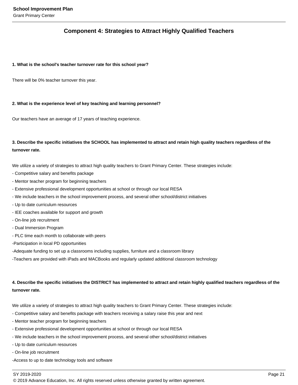### **Component 4: Strategies to Attract Highly Qualified Teachers**

#### **1. What is the school's teacher turnover rate for this school year?**

There will be 0% teacher turnover this year.

#### **2. What is the experience level of key teaching and learning personnel?**

Our teachers have an average of 17 years of teaching experience.

### **3. Describe the specific initiatives the SCHOOL has implemented to attract and retain high quality teachers regardless of the turnover rate.**

We utilize a variety of strategies to attract high quality teachers to Grant Primary Center. These strategies include:

- Competitive salary and benefits package
- Mentor teacher program for beginning teachers
- Extensive professional development opportunities at school or through our local RESA
- We include teachers in the school improvement process, and several other school/district initiatives
- Up to date curriculum resources
- IEE coaches available for support and growth
- On-line job recruitment
- Dual Immersion Program
- PLC time each month to collaborate with peers
- -Participation in local PD opportunities

-Adequate funding to set up a classrooms including supplies, furniture and a classroom library

-Teachers are provided with iPads and MACBooks and regularly updated additional classroom technology

### **4. Describe the specific initiatives the DISTRICT has implemented to attract and retain highly qualified teachers regardless of the turnover rate.**

We utilize a variety of strategies to attract high quality teachers to Grant Primary Center. These strategies include:

- Competitive salary and benefits package with teachers receiving a salary raise this year and next
- Mentor teacher program for beginning teachers
- Extensive professional development opportunities at school or through our local RESA
- We include teachers in the school improvement process, and several other school/district initiatives
- Up to date curriculum resources
- On-line job recruitment
- -Access to up to date technology tools and software

#### SY 2019-2020 Page 21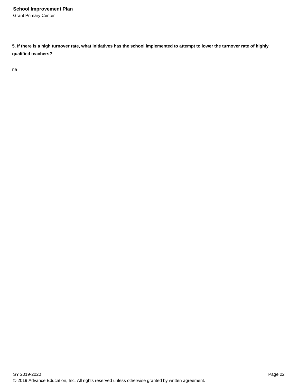**5. If there is a high turnover rate, what initiatives has the school implemented to attempt to lower the turnover rate of highly qualified teachers?**

na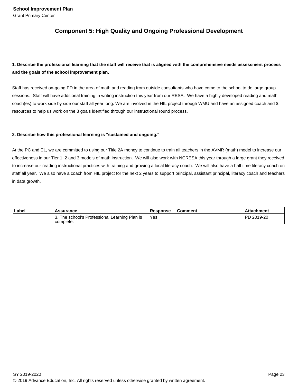### **Component 5: High Quality and Ongoing Professional Development**

### **1. Describe the professional learning that the staff will receive that is aligned with the comprehensive needs assessment process and the goals of the school improvement plan.**

Staff has received on-going PD in the area of math and reading from outside consultants who have come to the school to do large group sessions. Staff will have additional training in writing instruction this year from our RESA. We have a highly developed reading and math coach(es) to work side by side our staff all year long. We are involved in the HIL project through WMU and have an assigned coach and \$ resources to help us work on the 3 goals identified through our instructional round process.

#### **2. Describe how this professional learning is "sustained and ongoing."**

At the PC and EL, we are committed to using our Title 2A money to continue to train all teachers in the AVMR (math) model to increase our effectiveness in our Tier 1, 2 and 3 models of math instruction. We will also work with NCRESA this year through a large grant they received to increase our reading instructional practices with training and growing a local literacy coach. We will also have a half time literacy coach on staff all year. We also have a coach from HIL project for the next 2 years to support principal, assistant principal, literacy coach and teachers in data growth.

| Label | <b>Assurance</b>                                           | <b>Response</b> | <b>Comment</b> | Attachment         |
|-------|------------------------------------------------------------|-----------------|----------------|--------------------|
|       | 3. The school's Professional Learning Plan is<br>complete. | 'Yes            |                | <b>IPD 2019-20</b> |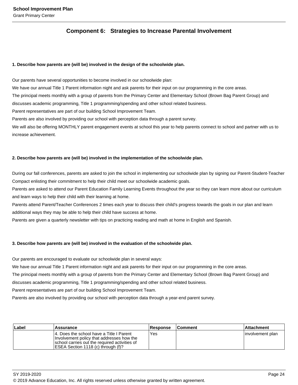### **Component 6: Strategies to Increase Parental Involvement**

#### **1. Describe how parents are (will be) involved in the design of the schoolwide plan.**

Our parents have several opportunities to become involved in our schoolwide plan: We have our annual Title 1 Parent information night and ask parents for their input on our programming in the core areas. The principal meets monthly with a group of parents from the Primary Center and Elementary School (Brown Bag Parent Group) and discusses academic programming, Title 1 programming/spending and other school related business. Parent representatives are part of our building School Improvement Team. Parents are also involved by providing our school with perception data through a parent survey. We will also be offering MONTHLY parent engagement events at school this year to help parents connect to school and partner with us to increase achievement.

#### **2. Describe how parents are (will be) involved in the implementation of the schoolwide plan.**

During our fall conferences, parents are asked to join the school in implementing our schoolwide plan by signing our Parent-Student-Teacher Compact enlisting their commitment to help their child meet our schoolwide academic goals.

Parents are asked to attend our Parent Education Family Learning Events throughout the year so they can learn more about our curriculum and learn ways to help their child with their learning at home.

Parents attend Parent/Teacher Conferences 2 times each year to discuss their child's progress towards the goals in our plan and learn additional ways they may be able to help their child have success at home.

Parents are given a quarterly newsletter with tips on practicing reading and math at home in English and Spanish.

#### **3. Describe how parents are (will be) involved in the evaluation of the schoolwide plan.**

Our parents are encouraged to evaluate our schoolwide plan in several ways:

We have our annual Title 1 Parent information night and ask parents for their input on our programming in the core areas.

The principal meets monthly with a group of parents from the Primary Center and Elementary School (Brown Bag Parent Group) and

discusses academic programming, Title 1 programming/spending and other school related business.

Parent representatives are part of our building School Improvement Team.

Parents are also involved by providing our school with perception data through a year-end parent survey.

| Label | <b>Assurance</b>                                                                                                                                                               | <b>Response</b> | <b>Comment</b> | l Attachment      |
|-------|--------------------------------------------------------------------------------------------------------------------------------------------------------------------------------|-----------------|----------------|-------------------|
|       | 14. Does the school have a Title I Parent<br>Involvement policy that addresses how the<br>school carries out the required activities of<br>IESEA Section 1118 (c) through (f)? | Yes             |                | linvolvement plan |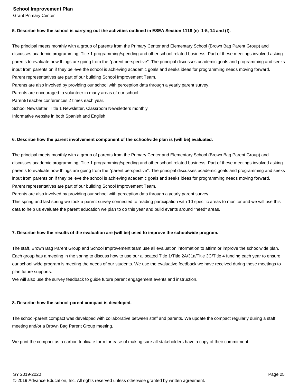Grant Primary Center

#### **5. Describe how the school is carrying out the activities outlined in ESEA Section 1118 (e) 1-5, 14 and (f).**

The principal meets monthly with a group of parents from the Primary Center and Elementary School (Brown Bag Parent Group) and discusses academic programming, Title 1 programming/spending and other school related business. Part of these meetings involved asking parents to evaluate how things are going from the "parent perspective". The principal discusses academic goals and programming and seeks input from parents on if they believe the school is achieving academic goals and seeks ideas for programming needs moving forward. Parent representatives are part of our building School Improvement Team. Parents are also involved by providing our school with perception data through a yearly parent survey. Parents are encouraged to volunteer in many areas of our school. Parent/Teacher conferences 2 times each year. School Newsletter, Title 1 Newsletter, Classroom Newsletters monthly Informative website in both Spanish and English

#### **6. Describe how the parent involvement component of the schoolwide plan is (will be) evaluated.**

The principal meets monthly with a group of parents from the Primary Center and Elementary School (Brown Bag Parent Group) and discusses academic programming, Title 1 programming/spending and other school related business. Part of these meetings involved asking parents to evaluate how things are going from the "parent perspective". The principal discusses academic goals and programming and seeks input from parents on if they believe the school is achieving academic goals and seeks ideas for programming needs moving forward. Parent representatives are part of our building School Improvement Team.

Parents are also involved by providing our school with perception data through a yearly parent survey.

This spring and last spring we took a parent survey connected to reading participation with 10 specific areas to monitor and we will use this data to help us evaluate the parent education we plan to do this year and build events around "need" areas.

#### **7. Describe how the results of the evaluation are (will be) used to improve the schoolwide program.**

The staff, Brown Bag Parent Group and School Improvement team use all evaluation information to affirm or improve the schoolwide plan. Each group has a meeting in the spring to discuss how to use our allocated Title 1/Title 2A/31a/Title 3C/Title 4 funding each year to ensure our school wide program is meeting the needs of our students. We use the evaluative feedback we have received during these meetings to plan future supports.

We will also use the survey feedback to guide future parent engagement events and instruction.

#### **8. Describe how the school-parent compact is developed.**

The school-parent compact was developed with collaborative between staff and parents. We update the compact regularly during a staff meeting and/or a Brown Bag Parent Group meeting.

We print the compact as a carbon triplicate form for ease of making sure all stakeholders have a copy of their commitment.

SY 2019-2020 Page 25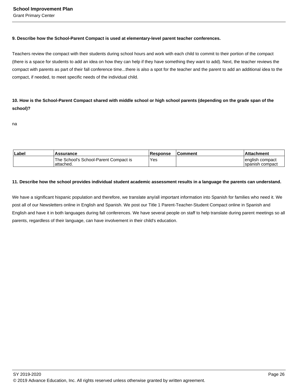#### **9. Describe how the School-Parent Compact is used at elementary-level parent teacher conferences.**

Teachers review the compact with their students during school hours and work with each child to commit to their portion of the compact (there is a space for students to add an idea on how they can help if they have something they want to add). Next, the teacher reviews the compact with parents as part of their fall conference time...there is also a spot for the teacher and the parent to add an additional idea to the compact, if needed, to meet specific needs of the individual child.

**10. How is the School-Parent Compact shared with middle school or high school parents (depending on the grade span of the school)?** 

na

| Label | <b>Assurance</b>                                   | <b>Response</b> | <b>Comment</b> | ∣Attachment                          |
|-------|----------------------------------------------------|-----------------|----------------|--------------------------------------|
|       | The School's School-Parent Compact is<br>attached. | <b>Yes</b>      |                | english compact <br>Ispanish compact |

#### **11. Describe how the school provides individual student academic assessment results in a language the parents can understand.**

We have a significant hispanic population and therefore, we translate any/all important information into Spanish for families who need it. We post all of our Newsletters online in English and Spanish. We post our Title 1 Parent-Teacher-Student Compact online in Spanish and English and have it in both languages during fall conferences. We have several people on staff to help translate during parent meetings so all parents, regardless of their language, can have involvement in their child's education.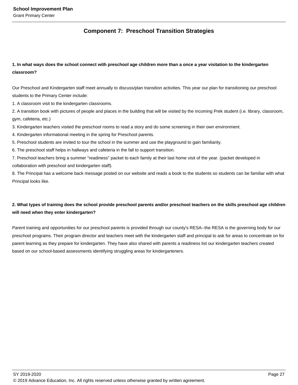### **Component 7: Preschool Transition Strategies**

### **1. In what ways does the school connect with preschool age children more than a once a year visitation to the kindergarten classroom?**

Our Preschool and Kindergarten staff meet annually to discuss/plan transition activities. This year our plan for transitioning our preschool students to the Primary Center include:

1. A classroom visit to the kindergarten classrooms.

2. A transition book with pictures of people and places in the building that will be visited by the incoming Prek student (i.e. library, classroom, gym, cafeteria, etc.)

3. Kindergarten teachers visited the preschool rooms to read a story and do some screening in their own environment.

4. Kindergarten informational meeting in the spring for Preschool parents.

5. Preschool students are invited to tour the school in the summer and use the playground to gain familiarity.

6. The preschool staff helps in hallways and cafeteria in the fall to support transition.

7. Preschool teachers bring a summer "readiness" packet to each family at their last home visit of the year. (packet developed in collaboration with preschool and kindergarten staff).

8. The Principal has a welcome back message posted on our website and reads a book to the students so students can be familiar with what Principal looks like.

### **2. What types of training does the school provide preschool parents and/or preschool teachers on the skills preschool age children will need when they enter kindergarten?**

Parent training and opportunities for our preschool parents is provided through our county's RESA--the RESA is the governing body for our preschool programs. Their program director and teachers meet with the kindergarten staff and principal to ask for areas to concentrate on for parent learning as they prepare for kindergarten. They have also shared with parents a readiness list our kindergarten teachers created based on our school-based assessments identifying struggling areas for kindergarteners.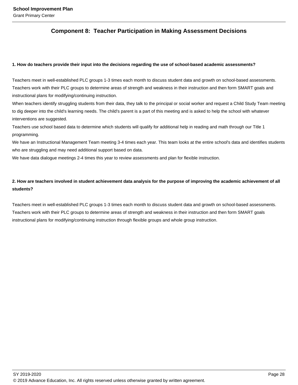### **Component 8: Teacher Participation in Making Assessment Decisions**

#### **1. How do teachers provide their input into the decisions regarding the use of school-based academic assessments?**

Teachers meet in well-established PLC groups 1-3 times each month to discuss student data and growth on school-based assessments. Teachers work with their PLC groups to determine areas of strength and weakness in their instruction and then form SMART goals and instructional plans for modifying/continuing instruction.

When teachers identify struggling students from their data, they talk to the principal or social worker and request a Child Study Team meeting to dig deeper into the child's learning needs. The child's parent is a part of this meeting and is asked to help the school with whatever interventions are suggested.

Teachers use school based data to determine which students will qualify for additional help in reading and math through our Title 1 programming.

We have an Instructional Management Team meeting 3-4 times each year. This team looks at the entire school's data and identifies students who are struggling and may need additional support based on data.

We have data dialogue meetings 2-4 times this year to review assessments and plan for flexible instruction.

### **2. How are teachers involved in student achievement data analysis for the purpose of improving the academic achievement of all students?**

Teachers meet in well-established PLC groups 1-3 times each month to discuss student data and growth on school-based assessments. Teachers work with their PLC groups to determine areas of strength and weakness in their instruction and then form SMART goals instructional plans for modifying/continuing instruction through flexible groups and whole group instruction.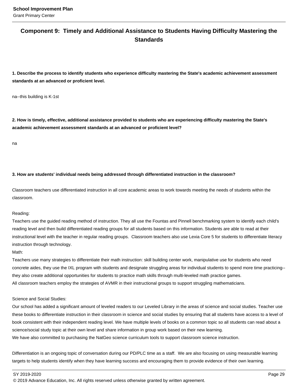### **Component 9: Timely and Additional Assistance to Students Having Difficulty Mastering the Standards**

**1. Describe the process to identify students who experience difficulty mastering the State's academic achievement assessment standards at an advanced or proficient level.**

na--this building is K-1st

**2. How is timely, effective, additional assistance provided to students who are experiencing difficulty mastering the State's academic achievement assessment standards at an advanced or proficient level?**

na

#### **3. How are students' individual needs being addressed through differentiated instruction in the classroom?**

Classroom teachers use differentiated instruction in all core academic areas to work towards meeting the needs of students within the classroom.

#### Reading:

Teachers use the guided reading method of instruction. They all use the Fountas and Pinnell benchmarking system to identify each child's reading level and then build differentiated reading groups for all students based on this information. Students are able to read at their instructional level with the teacher in regular reading groups. Classroom teachers also use Lexia Core 5 for students to differentiate literacy instruction through technology.

#### Math:

Teachers use many strategies to differentiate their math instruction: skill building center work, manipulative use for students who need concrete aides, they use the IXL program with students and designate struggling areas for individual students to spend more time practicing- they also create additional opportunities for students to practice math skills through multi-leveled math practice games. All classroom teachers employ the strategies of AVMR in their instructional groups to support struggling mathematicians.

#### Science and Social Studies:

Our school has added a significant amount of leveled readers to our Leveled Library in the areas of science and social studies. Teacher use these books to differentiate instruction in their classroom in science and social studies by ensuring that all students have access to a level of book consistent with their independent reading level. We have multiple levels of books on a common topic so all students can read about a science/social study topic at their own level and share information in group work based on their new learning. We have also committed to purchasing the NatGeo science curriculum tools to support classroom science instruction.

Differentiation is an ongoing topic of conversation during our PD/PLC time as a staff. We are also focusing on using measurable learning targets to help students identify when they have learning success and encouraging them to provide evidence of their own learning.

SY 2019-2020 Page 29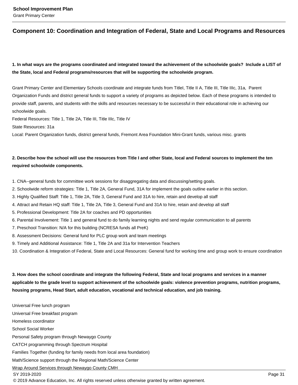### **Component 10: Coordination and Integration of Federal, State and Local Programs and Resources**

### **1. In what ways are the programs coordinated and integrated toward the achievement of the schoolwide goals? Include a LIST of the State, local and Federal programs/resources that will be supporting the schoolwide program.**

Grant Primary Center and Elementary Schools coordinate and integrate funds from TitleI, Title II A, Title III, Title IIIc, 31a, Parent Organization Funds and district general funds to support a variety of programs as depicted below. Each of these programs is intended to provide staff, parents, and students with the skills and resources necessary to be successful in their educational role in achieving our schoolwide goals.

Federal Resources: Title 1, Title 2A, Title III, Title IIIc, Title IV

State Resources: 31a

Local: Parent Organization funds, district general funds, Fremont Area Foundation Mini-Grant funds, various misc. grants

### **2. Describe how the school will use the resources from Title I and other State, local and Federal sources to implement the ten required schoolwide components.**

- 1. CNA--general funds for committee work sessions for disaggregating data and discussing/setting goals.
- 2. Schoolwide reform strategies: Title 1, Title 2A, General Fund, 31A for implement the goals outline earlier in this section.
- 3. Highly Qualified Staff: Title 1, Title 2A, Title 3, General Fund and 31A to hire, retain and develop all staff
- 4. Attract and Retain HQ staff: Title 1, Title 2A, Title 3, General Fund and 31A to hire, retain and develop all staff
- 5. Professional Development: Title 2A for coaches and PD opportunities
- 6. Parental Involvement: Title 1 and general fund to do family learning nights and send regular communication to all parents
- 7. Preschool Transition: N/A for this building (NCRESA funds all PreK)
- 8. Assessment Decisions: General fund for PLC group work and team meetings
- 9. Timely and Additional Assistance: Title 1, Title 2A and 31a for Intervention Teachers
- 10. Coordination & Integration of Federal, State and Local Resources: General fund for working time and group work to ensure coordination

**3. How does the school coordinate and integrate the following Federal, State and local programs and services in a manner applicable to the grade level to support achievement of the schoolwide goals: violence prevention programs, nutrition programs, housing programs, Head Start, adult education, vocational and technical education, and job training.** 

Universal Free lunch program Universal Free breakfast program Homeless coordinator School Social Worker Personal Safety program through Newaygo County CATCH programming through Spectrum Hospital Families Together (funding for family needs from local area foundation) Math/Science support through the Regional Math/Science Center Wrap Around Services through Newaygo County CMH SY 2019-2020 Page 31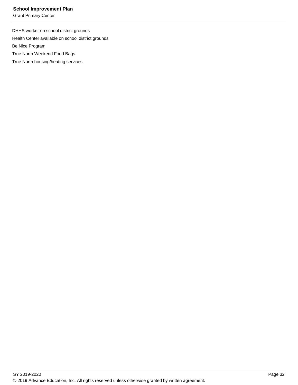Grant Primary Center

DHHS worker on school district grounds Health Center available on school district grounds Be Nice Program True North Weekend Food Bags

True North housing/heating services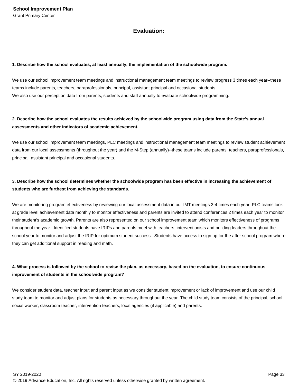### **Evaluation:**

#### **1. Describe how the school evaluates, at least annually, the implementation of the schoolwide program.**

We use our school improvement team meetings and instructional management team meetings to review progress 3 times each year--these teams include parents, teachers, paraprofessionals, principal, assistant principal and occasional students. We also use our perception data from parents, students and staff annually to evaluate schoolwide programming.

### **2. Describe how the school evaluates the results achieved by the schoolwide program using data from the State's annual assessments and other indicators of academic achievement.**

We use our school improvement team meetings, PLC meetings and instructional management team meetings to review student achievement data from our local assessments (throughout the year) and the M-Step (annually)--these teams include parents, teachers, paraprofessionals, principal, assistant principal and occasional students.

### **3. Describe how the school determines whether the schoolwide program has been effective in increasing the achievement of students who are furthest from achieving the standards.**

We are monitoring program effectiveness by reviewing our local assessment data in our IMT meetings 3-4 times each year. PLC teams look at grade level achievement data monthly to monitor effectiveness and parents are invited to attend conferences 2 times each year to monitor their student's academic growth. Parents are also represented on our school improvement team which monitors effectiveness of programs throughout the year. Identified students have IRIPs and parents meet with teachers, interventionists and building leaders throughout the school year to monitor and adjust the IRIP for optimum student success. Students have access to sign up for the after school program where they can get additional support in reading and math.

### **4. What process is followed by the school to revise the plan, as necessary, based on the evaluation, to ensure continuous improvement of students in the schoolwide program?**

We consider student data, teacher input and parent input as we consider student improvement or lack of improvement and use our child study team to monitor and adjust plans for students as necessary throughout the year. The child study team consists of the principal, school social worker, classroom teacher, intervention teachers, local agencies (if applicable) and parents.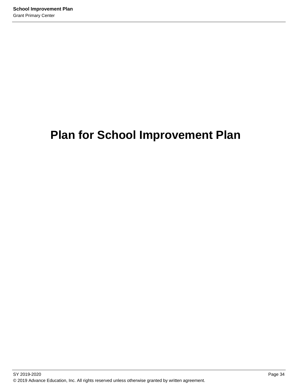# **Plan for School Improvement Plan**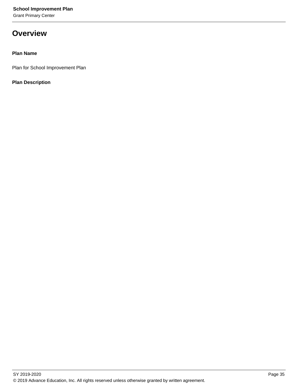Grant Primary Center

## **Overview**

### **Plan Name**

Plan for School Improvement Plan

### **Plan Description**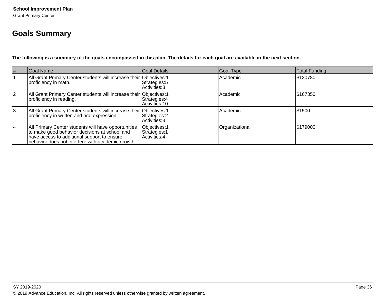## **Goals Summary**

**The following is a summary of the goals encompassed in this plan. The details for each goal are available in the next section.**

| $\#$      | Goal Name                                                                                                                                                                                                | Goal Details                                    | Goal Type      | Total Funding |
|-----------|----------------------------------------------------------------------------------------------------------------------------------------------------------------------------------------------------------|-------------------------------------------------|----------------|---------------|
|           | All Grant Primary Center students will increase their Objectives: 1<br>proficiency in math.                                                                                                              | Strategies: 5<br>Activities: 8                  | Academic       | \$120780      |
| <u> 2</u> | All Grant Primary Center students will increase their Objectives: 1<br>proficiency in reading.                                                                                                           | Strategies: 4<br>Activities: 10                 | Academic       | \$167350      |
| Ι3        | All Grant Primary Center students will increase their Objectives: 1<br>proficiency in written and oral expression.                                                                                       | Strategies: 2<br>Activities: 3                  | Academic       | 51500         |
| 14        | All Primary Center students will have opportunities<br>to make good behavior decisions at school and<br>have access to additional support to ensure<br>behavior does not interfere with academic growth. | Objectives: 1<br>Strategies: 1<br>Activities: 4 | Organizational | \$179000      |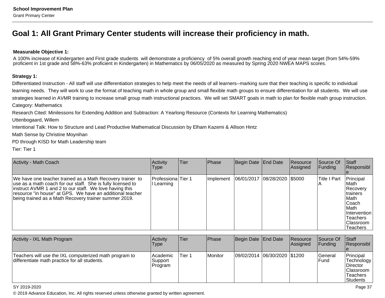## **Goal 1: All Grant Primary Center students will increase their proficiency in math.**

#### **Measurable Objective 1:**

A 100% increase of Kindergarten and First grade students will demonstrate a proficiency of 5% overall growth reaching end of year mean target (from 54%-59%proficient in 1st grade and 58%-63% proficient in Kindergarten) in Mathematics by 06/05/2020 as measured by Spring 2020 NWEA MAPS scores.

#### **Strategy 1:**

Differentiated Instruction - All staff will use differentiation strategies to help meet the needs of all learners--marking sure that their teaching is specific to individuallearning needs. They will work to use the format of teaching math in whole group and small flexible math groups to ensure differentiation for all students. We will usestrategies learned in AVMR training to increase small group math instructional practices. We will set SMART goals in math to plan for flexible math group instruction. Category: Mathematics

Research Cited: Minilessons for Extending Addition and Subtraction: A Yearlong Resource (Contexts for Learning Mathematics)

Uttenbogaard, Willem

Intentional Talk: How to Structure and Lead Productive Mathematical Discussion by Elham Kazemi & Allison Hintz

Math Sense by Christine Moynihan

PD through KISD for Math Leadership team

Tier: Tier 1

| <b>Activity - Math Coach</b>                                                                                                                                                                                                                                                                              | Activity<br><b>Type</b>          | Tier | Phase     | Begin Date End Date          | Resource<br>Assigned | Source Of<br><b>Funding</b> | <b>Staff</b><br>Responsibl                                                                                                                                 |
|-----------------------------------------------------------------------------------------------------------------------------------------------------------------------------------------------------------------------------------------------------------------------------------------------------------|----------------------------------|------|-----------|------------------------------|----------------------|-----------------------------|------------------------------------------------------------------------------------------------------------------------------------------------------------|
| We have one teacher trained as a Math Recovery trainer to<br>use as a math coach for our staff. She is fully licensed to<br>instruct AVMR 1 and 2 to our staff. We love having this<br>resource "in house" at GPS. We have an additional teacher<br>being trained as a Math Recovery trainer summer 2019. | Professiona Tier 1<br>l Learning |      | Implement | 06/01/2017 08/28/2020 \$5000 |                      | <b>Title I Part</b>         | Principal<br>lMath.<br>Recovery<br>Itrainers<br><b>IMath</b><br><b>Coach</b><br>l Math<br>IIntervention<br><b>Teachers</b><br>Classroom<br><b>Teachers</b> |

| Activity - IXL Math Program                                                                             | <b>Activity</b><br>Type         | Tier   | <b>Phase</b> | Begin Date End Date            | <b>Resource</b><br>Assigned | <b>Source Of</b><br>IFundina    | ∣Staff<br>Responsibl                                                             |
|---------------------------------------------------------------------------------------------------------|---------------------------------|--------|--------------|--------------------------------|-----------------------------|---------------------------------|----------------------------------------------------------------------------------|
| Teachers will use the IXL computerized math program to<br>differentiate math practice for all students. | Academic <br>Support<br>Program | Tier 1 | l Monitor    | 09/02/2014  06/30/2020  \$1200 |                             | <b>IGeneral</b><br><b>IFund</b> | Principal<br>Technology<br>Director<br>lClassroom<br><b>Teachers</b><br>Students |

SY 2019-2020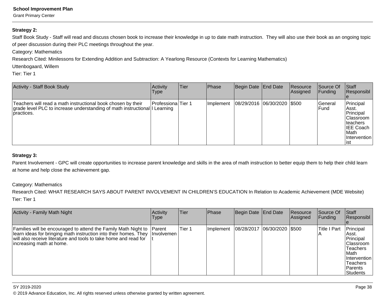Grant Primary Center

#### **Strategy 2:**

Staff Book Study - Staff will read and discuss chosen book to increase their knowledge in up to date math instruction. They will also use their book as an ongoing topicof peer discussion during their PLC meetings throughout the year.

Category: Mathematics

Research Cited: Minilessons for Extending Addition and Subtraction: A Yearlong Resource (Contexts for Learning Mathematics)

Uttenbogaard, Willem

Tier: Tier 1

| Activity - Staff Book Study                                                                                                                              | <b>Activity</b><br>Type | Tier | Phase     | Begin Date End Date         | <b>Resource</b><br>Assigned | Source Of<br>IFundina    | <b>Staff</b><br>Responsibl                                                                                                |
|----------------------------------------------------------------------------------------------------------------------------------------------------------|-------------------------|------|-----------|-----------------------------|-----------------------------|--------------------------|---------------------------------------------------------------------------------------------------------------------------|
| Teachers will read a math instructional book chosen by their<br>grade level PLC to increase understanding of math instructional I Learning<br>practices. | Professiona Tier 1      |      | Implement | 08/29/2016 06/30/2020 \$500 |                             | lGeneral<br><b>IFund</b> | Principal<br>IAsst.<br>Principal<br>IClassroom<br><b>Iteachers</b><br><b>IEE Coach</b><br>l Math<br>IIntervention<br>list |

#### **Strategy 3:**

Parent Involvement - GPC will create opportunities to increase parent knowledge and skills in the area of math instruction to better equip them to help their child learn at home and help close the achievement gap.

### Category: Mathematics

 Research Cited: WHAT RESEARCH SAYS ABOUT PARENT INVOLVEMENT IN CHILDREN'S EDUCATION In Relation to Academic Achievement (MDE Website)Tier: Tier 1

| <b>Activity - Family Math Night</b>                                                                                                                                                                                                 | Activity<br>Type                     | Tier   | Phase     | Begin Date End Date           | <b>Resource</b><br>Assigned | Source Of<br><b>Funding</b> | <b>Staff</b><br>Responsibl                                                                                                                           |
|-------------------------------------------------------------------------------------------------------------------------------------------------------------------------------------------------------------------------------------|--------------------------------------|--------|-----------|-------------------------------|-----------------------------|-----------------------------|------------------------------------------------------------------------------------------------------------------------------------------------------|
| Families will be encouraged to attend the Family Math Night to<br>learn ideas for bringing math instruction into their homes. They<br>will also receive literature and tools to take home and read for<br>lincreasing math at home. | <b>IParent</b><br><b>Ilnvolvemen</b> | Tier 1 | Implement | 08/28/2017  06/30/2020  \$500 |                             | Title I Part                | Principal<br>IAsst.<br>Principal<br><b>Classroom</b><br><b>Teachers</b><br>l Math<br><b>Intervention</b><br><b>Teachers</b><br>l Parents<br>Students |

SY 2019-2020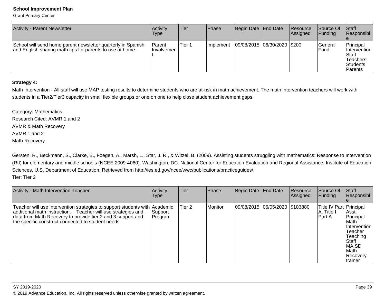Grant Primary Center

| <b>Activity - Parent Newsletter</b>                                                                                       | Activitv<br><b>Type</b>      | lTier. | Phase      | Begin Date   End Date       | <b>IResource</b><br>Assigned | <b>Source Of</b><br>IFundina l | <b>Staff</b><br>Responsibl                                                          |
|---------------------------------------------------------------------------------------------------------------------------|------------------------------|--------|------------|-----------------------------|------------------------------|--------------------------------|-------------------------------------------------------------------------------------|
| School will send home parent newsletter quarterly in Spanish<br>and English sharing math tips for parents to use at home. | <b>Parent</b><br>∣Involvemen | Tier 1 | Ilmplement | 09/08/2015 06/30/2020 \$200 |                              | lGeneral<br>lFund              | Principal<br><b>Intervention</b><br>Staff<br>Teachers<br><b>Students</b><br>Parents |

### **Strategy 4:**

Math Intervention - All staff will use MAP testing results to determine students who are at-risk in math achievement. The math intervention teachers will work withstudents in a Tier2/Tier3 capacity in small flexible groups or one on one to help close student achievement gaps.

Category: Mathematics Research Cited: AVMR 1 and 2AVMR & Math RecoveryAVMR 1 and 2Math Recovery

Gersten, R., Beckmann, S., Clarke, B., Foegen, A., Marsh, L., Star, J. R., & Witzel, B. (2009). Assisting students struggling with mathematics: Response to Intervention (RtI) for elementary and middle schools (NCEE 2009-4060). Washington, DC: National Center for Education Evaluation and Regional Assistance, Institute of EducationSciences, U.S. Department of Education. Retrieved from http://ies.ed.gov/ncee/wwc/publications/practiceguides/. Tier: Tier 2

| Activity - Math Intervention Teacher                                                                                                                                                                                                                            | Activity<br>Type    | Tier   | Phase   | Begin Date End Date            | Resource<br>Assigned | Source Of<br><b>Funding</b>                         | Staff<br>Responsibl                                                                                                           |
|-----------------------------------------------------------------------------------------------------------------------------------------------------------------------------------------------------------------------------------------------------------------|---------------------|--------|---------|--------------------------------|----------------------|-----------------------------------------------------|-------------------------------------------------------------------------------------------------------------------------------|
| Teacher will use intervention strategies to support students with Academic<br>additional math instruction. Teacher will use strategies and<br>data from Math Recovery to provide tier 2 and 3 support and<br>the specific construct connected to student needs. | Support_<br>Program | Tier 2 | Monitor | 09/08/2015 06/05/2020 \$103880 |                      | Title IV Part   Principal<br> A, Title I<br>lPart A | Asst.<br>Principal<br>lMath<br>Intervention<br>Teacher<br>Teaching<br>l Staff<br><b>MAISD</b><br>Math<br>Recovery<br>Itrainer |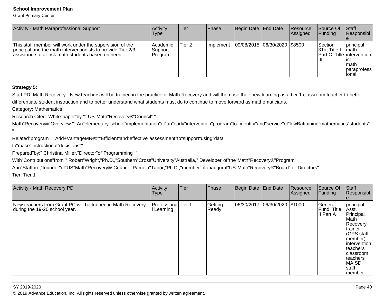Grant Primary Center

| Activity - Math Paraprofessional Support                                                                                                                                       | <b>Activity</b><br>Type          | lTier  | <b>IPhase</b>     | Begin Date End Date          | Resource<br><b>Assigned</b> | Source Of<br>IFundina                | <b>Staff</b><br>Responsibl                                                                                      |
|--------------------------------------------------------------------------------------------------------------------------------------------------------------------------------|----------------------------------|--------|-------------------|------------------------------|-----------------------------|--------------------------------------|-----------------------------------------------------------------------------------------------------------------|
| This staff member will work under the supervision of the<br>principal and the math interventionists to provide Tier 2/3<br>lassistance to at-risk math students based on need. | l Academic<br>Support<br>Program | Tier 2 | <b>Ilmplement</b> | 09/08/2015 06/30/2020 \$8500 |                             | <b>Section</b><br>I31a. Title I<br>Ш | <b>principal</b><br><b>Imath</b><br>IPart C. Title lintervention I<br>list<br>Imath<br>Iparaprofess I<br>lional |

### **Strategy 5:**

"

Staff PD: Math Recovery - New teachers will be trained in the practice of Math Recovery and will then use their new learning as a tier 1 classroom teacher to betterdifferentiate student instruction and to better understand what students must do to continue to move forward as mathematicians.

Category: Mathematics

Research Cited: White"paper"by:"" US"Math"Recovery®"Council" "

Math"Recovery®"Overview:"" An"elementary"school"implementation"of"an"early"intervention"program"to" identify"and"service"of"lowBattaining"mathematics"students"

Related"program" ""Add+VantageMR®:""Efficient"and"effective"assessment"to"support"using"data"

to"make"instructional"decisions""

Prepared"by:" Christina"Miller,"Director"of"Programming" "

With"Contributions"from"" Robert"Wright,"Ph.D.,"Southern"Cross"University"Australia," Developer"of"the"Math"Recovery®"Program"

Ann"Stafford,"founder"of"US"Math"Recovery®"Council" Pamela"Tabor,"Ph.D.,"member"of"inaugural"US"Math"Recovery®"Board"of" Directors"Tier: Tier 1

| Activity - Math Recovery PD                                                                  | Activity<br>Type                 | Tier | Phase            | Begin Date End Date |                   | Resource<br>Assigned | Source Of<br>Funding                 | <b>Staff</b><br>Responsibl                                                                                                                                                       |
|----------------------------------------------------------------------------------------------|----------------------------------|------|------------------|---------------------|-------------------|----------------------|--------------------------------------|----------------------------------------------------------------------------------------------------------------------------------------------------------------------------------|
| New teachers from Grant PC will be trained in Math Recovery<br>during the 19-20 school year. | Professiona Tier 1<br>I Learning |      | Getting<br>Ready | 06/30/2017          | 06/30/2020 \$1000 |                      | General<br>Fund, Title<br>III Part A | principal<br>Asst.<br>Principal<br> Math<br>Recovery<br> trainer<br>(GPS staff<br>(member<br> intervention<br>lteachers<br> classroom<br>lteachers<br> MAISD<br>staff<br> member |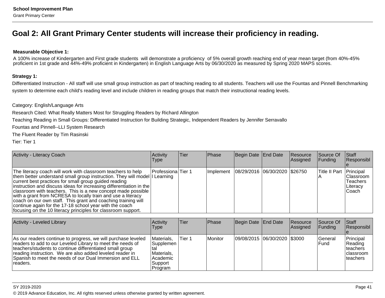## **Goal 2: All Grant Primary Center students will increase their proficiency in reading.**

#### **Measurable Objective 1:**

 A 100% increase of Kindergarten and First grade students will demonstrate a proficiency of 5% overall growth reaching end of year mean target (from 40%-45%proficient in 1st grade and 44%-49% proficient in Kindergarten) in English Language Arts by 06/30/2020 as measured by Spring 2020 MAPS scores.

#### **Strategy 1:**

Differentiated Instruction - All staff will use small group instruction as part of teaching reading to all students. Teachers will use the Fountas and Pinnell Benchmarkingsystem to determine each child's reading level and include children in reading groups that match their instructional reading levels.

Category: English/Language Arts

Research Cited: What Really Matters Most for Struggling Readers by Richard Allington

Teaching Reading in Small Groups: Differentiated Instruction for Building Strategic, Independent Readers by Jennifer Serravallo

Fountas and Pinnell--LLI System Research

The Fluent Reader by Tim Rasinski

Tier: Tier 1

| Activity - Literacy Coach                                                                                                                                                                                                                                                                                                                                                                                                                                                                                                                                                                                 | Activity<br><b>Type</b> | lTier. | Phase                                   | Begin Date End Date | Resource<br>Assigned | Source Of<br>Funding    | $\vert$ Staff<br>Responsibl                                        |
|-----------------------------------------------------------------------------------------------------------------------------------------------------------------------------------------------------------------------------------------------------------------------------------------------------------------------------------------------------------------------------------------------------------------------------------------------------------------------------------------------------------------------------------------------------------------------------------------------------------|-------------------------|--------|-----------------------------------------|---------------------|----------------------|-------------------------|--------------------------------------------------------------------|
| The literacy coach will work with classroom teachers to help<br>them better understand small group instruction. They will model I Learning<br>current best practices for small group guided reading<br>instruction and discuss ideas for increasing differentiation in the<br>classroom with teachers. This is a new concept made possible  <br>with a grant from NCRESA to locally train and use a literacy<br>coach on our own staff. This grant and coaching training will<br>continue again for the 17-18 school year with the coach<br>focusing on the 10 literacy principles for classroom support. | Professiona Tier 1      |        | Implement 08/29/2016 06/30/2020 \$26750 |                     |                      | Title II Part Principal | <b>IClassroom</b><br><b>Teachers</b><br><b>Literacy</b><br>lCoach. |

| <b>Activity - Leveled Library</b>                                                                                                                                                                                                                                                                                          | Activity<br><b>Type</b>                                                           | lTier. | Phase   | Begin Date End Date          | <b>IResource</b><br><b>Assigned</b> | Source Of<br><b>IFunding</b> | <b>Staff</b><br>Responsibl                                   |
|----------------------------------------------------------------------------------------------------------------------------------------------------------------------------------------------------------------------------------------------------------------------------------------------------------------------------|-----------------------------------------------------------------------------------|--------|---------|------------------------------|-------------------------------------|------------------------------|--------------------------------------------------------------|
| As our readers continue to progress, we will purchase leveled<br>readers to add to our Leveled Library to meet the needs of<br>teachers/students to continue differentiated small group<br>reading instruction. We are also added leveled reader in<br>Spanish to meet the needs of our Dual Immersion and ELL<br>readers. | Materials,<br>Supplemen<br>∣tal<br>Materials,<br> Academic<br> Support<br>Program | Tier 1 | Monitor | 09/08/2015 06/30/2020 \$3000 |                                     | <b>IGeneral</b><br>l Fund    | Principal<br>Reading<br> teachers<br>Iclassroom<br>Iteachers |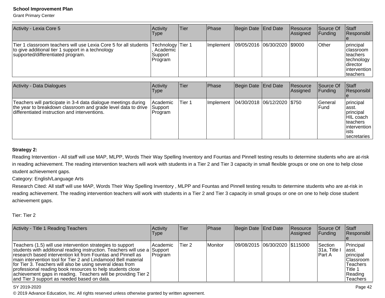Grant Primary Center

| Activity - Lexia Core 5                                                                                                                                                          | Activity<br><b>Type</b>                             | Tier   | Phase     | Begin Date | End Date    | Resource<br>Assigned  | Source Of<br>Funding  | Staff<br>Responsibl                                                                      |
|----------------------------------------------------------------------------------------------------------------------------------------------------------------------------------|-----------------------------------------------------|--------|-----------|------------|-------------|-----------------------|-----------------------|------------------------------------------------------------------------------------------|
| Tier 1 classroom teachers will use Lexia Core 5 for all students<br>to give additional tier 1 support in a technology<br>supported/differentiated program.                       | Technology Tier 1<br>Academic<br>Support<br>Program |        | Implement | 09/05/2016 | 06/30/2020  | 1\$9000               | Other                 | principal<br>classroom<br>teachers<br>technology<br>director<br>intervention<br>teachers |
| <b>Activity - Data Dialogues</b>                                                                                                                                                 | Activity<br><b>Type</b>                             | Tier   | Phase     | Begin Date | End Date    | Resource<br> Assigned | Source Of<br> Funding | Staff<br>Responsibl<br>e                                                                 |
| Teachers will participate in 3-4 data dialogue meetings during<br>the year to breakdown classroom and grade level data to drive<br>differentiated instruction and interventions. | Academic<br>Support<br>Program                      | Tier 1 | Implement | 04/30/2018 | 106/12/2020 | \$750                 | l General<br>lFund    | principal<br>asst.<br>principal<br>HIL coach<br>teachers<br>lintervention                |

### **Strategy 2:**

Reading Intervention - All staff will use MAP, MLPP, Words Their Way Spelling Inventory and Fountas and Pinnell testing results to determine students who are at-riskin reading achievement. The reading intervention teachers will work with students in a Tier 2 and Tier 3 capacity in small flexible groups or one on one to help closestudent achievement gaps.

Category: English/Language Arts

Research Cited: All staff will use MAP, Words Their Way Spelling Inventory, MLPP and Fountas and Pinnell testing results to determine students who are at-risk in reading achievement. The reading intervention teachers will work with students in a Tier 2 and Tier 3 capacity in small groups or one on one to help close studentachievement gaps.

Tier: Tier 2

| Activity - Title 1 Reading Teachers                                                                                                                                                                                                                                                                                                                                                                                                                                                                                    | <b>Activity</b><br><b>Type</b> | Tier   | <b>IPhase</b> | Begin Date End Date            | <b>Resource</b><br>Assigned | Source Of<br> Funding                  | <b>Staff</b><br>Responsibl                                                                                 |
|------------------------------------------------------------------------------------------------------------------------------------------------------------------------------------------------------------------------------------------------------------------------------------------------------------------------------------------------------------------------------------------------------------------------------------------------------------------------------------------------------------------------|--------------------------------|--------|---------------|--------------------------------|-----------------------------|----------------------------------------|------------------------------------------------------------------------------------------------------------|
| Teachers (1.5) will use intervention strategies to support<br>students with additional reading instruction. Teachers will use a Support<br>research based intervention kit from Fountas and Pinnell as<br>main intervention tool for Tier 2 and Lindamood Bell material<br>for Tier 3. Teachers will also be using several ideas from<br>professional reading book resources to help students close<br>  achievement gaps in reading. Teachers will be providing Tier 2<br>and Tier 3 support as needed based on data. | l Academic<br> Program         | Tier 2 | Monitor       | 09/08/2015 06/30/2020 \$115000 |                             | lSection l<br> 31a, Title l<br>lPart A | Principal<br>lasst.<br>principal<br>lClassroom<br><b>Teachers</b><br>Title 1<br>Reading<br><b>Teachers</b> |

#### SY 2019-2020

© 2019 Advance Education, Inc. All rights reserved unless otherwise granted by written agreement.

ists

secretaries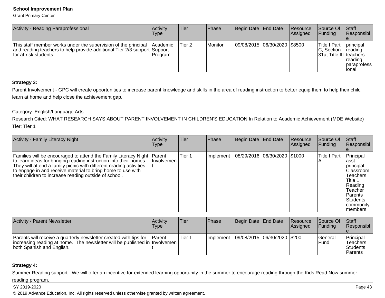Grant Primary Center

| Activity - Reading Paraprofessional                                                                                                                                  | Activity<br><b>Type</b>    | Tier   | <b>IPhase</b> | Begin Date End Date          | Resource<br>Assigned | <b>Source Of</b><br>IFundina                                  | <b>Staff</b><br><b>Responsibl</b>                                               |
|----------------------------------------------------------------------------------------------------------------------------------------------------------------------|----------------------------|--------|---------------|------------------------------|----------------------|---------------------------------------------------------------|---------------------------------------------------------------------------------|
| This staff member works under the supervision of the principal<br>and reading teachers to help provide additional Tier 2/3 support Support<br>Ifor at-risk students. | <b>Academic</b><br>Program | Tier 2 | Monitor       | 09/08/2015 06/30/2020 \$8500 |                      | <b>Title I Part</b><br>IC. Section<br>31a, Title III teachers | principal<br><b>reading</b><br>reading<br><i><b>I</b></i> paraprofess<br>lional |

### **Strategy 3:**

Parent Involvement - GPC will create opportunities to increase parent knowledge and skills in the area of reading instruction to better equip them to help their child learn at home and help close the achievement gap.

### Category: English/Language Arts

 Research Cited: WHAT RESEARCH SAYS ABOUT PARENT INVOLVEMENT IN CHILDREN'S EDUCATION In Relation to Academic Achievement (MDE Website)Tier: Tier 1

| Activity - Family Literacy Night                                                                                                                                                                                                                                                                                                            | Activity<br>Type  | Tier   | Phase     | Begin Date End Date          | Resource<br>Assigned | Source Of<br><b>Funding</b> | <b>Staff</b><br>Responsibl                                                                                                                           |
|---------------------------------------------------------------------------------------------------------------------------------------------------------------------------------------------------------------------------------------------------------------------------------------------------------------------------------------------|-------------------|--------|-----------|------------------------------|----------------------|-----------------------------|------------------------------------------------------------------------------------------------------------------------------------------------------|
| Families will be encouraged to attend the Family Literacy Night   Parent<br>to learn ideas for bringing reading instruction into their homes.<br>They will attend a family picnic with different reading activities<br>to engage in and receive material to bring home to use with<br>their children to increase reading outside of school. | <b>Involvemen</b> | Tier 1 | Implement | 08/29/2016 06/30/2020 \$1000 |                      | lTitle I Part               | Principal<br>lasst.<br>principal<br>lClassroom<br><b>Teachers</b><br>Title 1<br>Reading<br>Teacher<br>l Parents<br>Students<br>community<br>Imembers |

| Activity - Parent Newsletter                                                                                                                                                  | <b>Activity</b><br>'Type' | Tier   | <b>Phase</b>      | Begin Date End Date         | Resource<br><b>IAssianed</b> | Source Of<br><b>IFundina</b>    | <b>Staff</b><br><b>Responsibl</b>                   |
|-------------------------------------------------------------------------------------------------------------------------------------------------------------------------------|---------------------------|--------|-------------------|-----------------------------|------------------------------|---------------------------------|-----------------------------------------------------|
| Parents will receive a quarterly newsletter created with tips for<br> increasing reading at home. The newsletter will be published in Involvemen<br>both Spanish and English. | <b>IParent</b>            | Tier 1 | <b>Ilmplement</b> | 09/08/2015 06/30/2020 \$200 |                              | <b>IGeneral</b><br><b>IFund</b> | Principal<br>Teachers<br><b>Students</b><br>Parents |

### **Strategy 4:**

Summer Reading support - We will offer an incentive for extended learning opportunity in the summer to encourage reading through the Kids Read Now summer

### reading program.

SY 2019-2020

on the contract of the contract of the contract of the contract of the contract of the contract of the contract of the contract of the contract of the contract of the contract of the contract of the contract of the contrac © 2019 Advance Education, Inc. All rights reserved unless otherwise granted by written agreement.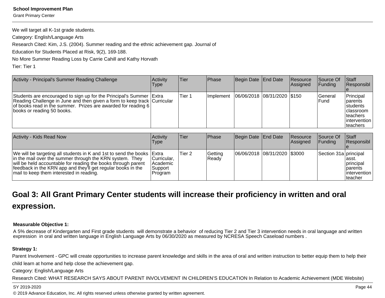Grant Primary Center

We will target all K-1st grade students.

Category: English/Language Arts

Research Cited: Kim, J.S. (2004). Summer reading and the ethnic achievement gap. Journal of

Education for Students Placed at Risk, 9(2), 169-188.

No More Summer Reading Loss by Carrie Cahill and Kathy Horvath

Tier: Tier 1

| Activity - Principal's Summer Reading Challenge                                                                                                                                                                                                  | Activity<br>Type | lTier. | <b>IPhase</b> | Begin Date End Date           | <b>IResource</b><br><b>Assigned</b> | <b>Source Of</b><br>IFundina | <b>Staff</b><br>Responsibl                                                                 |
|--------------------------------------------------------------------------------------------------------------------------------------------------------------------------------------------------------------------------------------------------|------------------|--------|---------------|-------------------------------|-------------------------------------|------------------------------|--------------------------------------------------------------------------------------------|
| Students are encouraged to sign up for the Principal's Summer Extra<br>Reading Challenge in June and then given a form to keep track   Curricular<br>of books read in the summer. Prizes are awarded for reading 6<br>books or reading 50 books. |                  | Tier 1 | Ilmplement    | 06/06/2018  08/31/2020  \$150 |                                     | l General<br>IFund           | Principal<br>parents<br>Istudents<br>Iclassroom<br>Iteachers<br>lintervention<br>lteachers |

| Activity - Kids Read Now                                                                                                                                                                                                                                                                                        | Activity<br>Type                                 | Tier   | <b>Phase</b>     | Begin Date   End Date |                              | <b>Resource</b><br>Assigned | <b>Source Of</b><br>IFundina | <b>Staff</b><br><b>Responsibl</b>                                            |
|-----------------------------------------------------------------------------------------------------------------------------------------------------------------------------------------------------------------------------------------------------------------------------------------------------------------|--------------------------------------------------|--------|------------------|-----------------------|------------------------------|-----------------------------|------------------------------|------------------------------------------------------------------------------|
| We will be targeting all students in K and 1st to send the books Extra<br>in the mail over the summer through the KRN system. They<br>will be held accountable for reading the books through parent<br>feedback in the KRN app and they'll get regular books in the<br>mail to keep them interested in reading. | Curricular,<br> Academic<br> Support <br>Program | Tier 2 | Getting<br>Ready |                       | 06/06/2018 08/31/2020 \$3000 |                             | Section 31a principal        | lasst.<br><b>Iprincipal</b><br><b>I</b> parents<br>lintervention<br>Iteacher |

# **Goal 3: All Grant Primary Center students will increase their proficiency in written and oralexpression.**

### **Measurable Objective 1:**

A 5% decrease of Kindergarten and First grade students will demonstrate a behavior of reducing Tier 2 and Tier 3 intervention needs in oral language and writtenexpression in oral and written language in English Language Arts by 06/30/2020 as measured by NCRESA Speech Caseload numbers.

### **Strategy 1:**

Parent Involvement - GPC will create opportunities to increase parent knowledge and skills in the area of oral and written instruction to better equip them to help their child learn at home and help close the achievement gap.

Category: English/Language Arts

Research Cited: WHAT RESEARCH SAYS ABOUT PARENT INVOLVEMENT IN CHILDREN'S EDUCATION In Relation to Academic Achievement (MDE Website)

#### SY 2019-2020

on the contract of the contract of the contract of the contract of the contract of the contract of the contract of the contract of the contract of the contract of the contract of the contract of the contract of the contrac © 2019 Advance Education, Inc. All rights reserved unless otherwise granted by written agreement.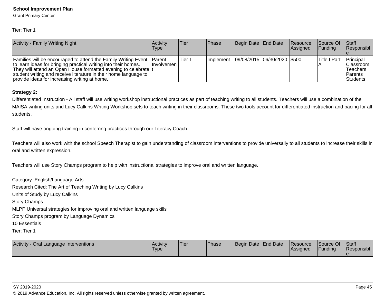Grant Primary Center

Tier: Tier 1

| <b>Activity - Family Writing Night</b>                                                                                                                                                                                                                                                                                            | Activitv<br>Type    | Tier   | <b>IPhase</b> | Begin Date End Date         | Resource<br><b>Assigned</b> | <b>Source Of</b><br><b>IFunding</b> | <b>Staff</b><br>Responsibl                                               |
|-----------------------------------------------------------------------------------------------------------------------------------------------------------------------------------------------------------------------------------------------------------------------------------------------------------------------------------|---------------------|--------|---------------|-----------------------------|-----------------------------|-------------------------------------|--------------------------------------------------------------------------|
| Families will be encouraged to attend the Family Writing Event Parent<br>to learn ideas for bringing practical writing into their homes.<br>They will attend an Open House formatted evening to celebrate  t<br>student writing and receive literature in their home language to<br>provide ideas for increasing writing at home. | <b>Involvemen</b> I | Tier 1 | Ilmplement    | 09/08/2015 06/30/2020 \$500 |                             | <sup>I</sup> Title I Part           | Principal<br> Classroom<br><b>Teachers</b><br><b>Parents</b><br>Students |

#### **Strategy 2:**

Differentiated Instruction - All staff will use writing workshop instructional practices as part of teaching writing to all students. Teachers will use a combination of the MAISA writing units and Lucy Calkins Writing Workshop sets to teach writing in their classrooms. These two tools account for differentiated instruction and pacing for allstudents.

Staff will have ongoing training in conferring practices through our Literacy Coach.

Teachers will also work with the school Speech Therapist to gain understanding of classroom interventions to provide universally to all students to increase their skills inoral and written expression.

Teachers will use Story Champs program to help with instructional strategies to improve oral and written language.

Category: English/Language Arts Research Cited: The Art of Teaching Writing by Lucy CalkinsUnits of Study by Lucy CalkinsStory Champs MLPP Universal strategies for improving oral and written language skillsStory Champs program by Language Dynamics10 EssentialsTier: Tier 1

| <b>Activity</b><br>y - Oral Language Interventions | l Acti∨it∨<br>'Type | 'Tier | <b>IPhase</b> | Begin Date End Date | <b>Resource</b><br><b>Assigned</b> | Source Of<br><b>IFunding</b> | Staff<br><b>Responsibl</b> |
|----------------------------------------------------|---------------------|-------|---------------|---------------------|------------------------------------|------------------------------|----------------------------|
|                                                    |                     |       |               |                     |                                    |                              |                            |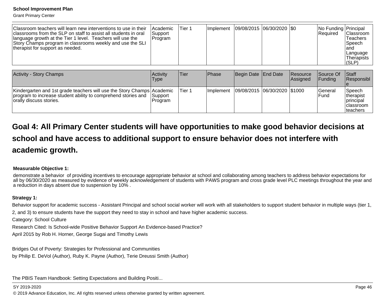Grant Primary Center

| Classroom teachers will learn new interventions to use in their<br>classrooms from the SLP on staff to assist all students in oral<br>language growth at the Tier 1 level. Teachers will use the<br>Story Champs program in classrooms weekly and use the SLI<br>therapist for support as needed. | Academic<br>Support<br>Program | Tier 1 | l Implement   | 09/08/2015 06/30/2020 0 |                       | No Funding Principal<br> Required | Classroom<br>Teachers<br> Speech<br>land<br> Language<br>Therapists<br> (SLP) |
|---------------------------------------------------------------------------------------------------------------------------------------------------------------------------------------------------------------------------------------------------------------------------------------------------|--------------------------------|--------|---------------|-------------------------|-----------------------|-----------------------------------|-------------------------------------------------------------------------------|
| <b>Activity - Story Champs</b>                                                                                                                                                                                                                                                                    | Activity<br>Tvne.              | Tier   | <b>IPhase</b> | Begin Date End Date     | Resource<br> Assianed | Source Of<br><b>IFunding</b>      | Staff<br><i><b>Responsibl</b></i>                                             |

| <b>INGUVILY - OLUI Y CHAILING</b>                                                                                                                                   | <b>INGUVILY</b><br><b>Type</b> | 1 I I GI | ι Γιαδσ    | <b>IDCUIII DAIC TEHU DAIC</b>  | <b>IIVESUUILE</b><br><b>Assigned</b> | וטטעוטכ<br><b>IFundina</b> | <b>I</b> Ulall<br>Responsibl                                          |
|---------------------------------------------------------------------------------------------------------------------------------------------------------------------|--------------------------------|----------|------------|--------------------------------|--------------------------------------|----------------------------|-----------------------------------------------------------------------|
| Kindergarten and 1st grade teachers will use the Story Champs Academic<br>program to increase student ability to comprehend stories and<br>Torally discuss stories. | Support <br>Program            | Tier 1   | Ilmplement | 09/08/2015  06/30/2020  \$1000 |                                      | lGeneral<br>lFund          | 'Speech<br>Itherapist<br>Iprincipal<br><b>Iclassroom</b><br>Iteachers |

# **Goal 4: All Primary Center students will have opportunities to make good behavior decisions atschool and have access to additional support to ensure behavior does not interfere withacademic growth.**

#### **Measurable Objective 1:**

 demonstrate a behavior of providing incentives to encourage appropriate behavior at school and collaborating among teachers to address behavior expectations for all by 06/30/2020 as measured by evidence of weekly acknowledgement of students with PAWS program and cross grade level PLC meetings throughout the year anda reduction in days absent due to suspension by 10% .

#### **Strategy 1:**

Behavior support for academic success - Assistant Principal and school social worker will work with all stakeholders to support student behavior in multiple ways (tier 1,

2, and 3) to ensure students have the support they need to stay in school and have higher academic success.

Category: School Culture

Research Cited: Is School-wide Positive Behavior Support An Evidence-based Practice?

April 2015 by Rob H. Horner, George Sugai and Timothy Lewis

Bridges Out of Poverty: Strategies for Professional and Communitiesby Philip E. DeVol (Author), Ruby K. Payne (Author), Terie Dreussi Smith (Author)

The PBIS Team Handbook: Setting Expectations and Building Positi...

### SY 2019-2020

en and the set of the set of the set of the set of the set of the set of the set of the set of the set of the set of the set of the set of the set of the set of the set of the set of the set of the set of the set of the se © 2019 Advance Education, Inc. All rights reserved unless otherwise granted by written agreement.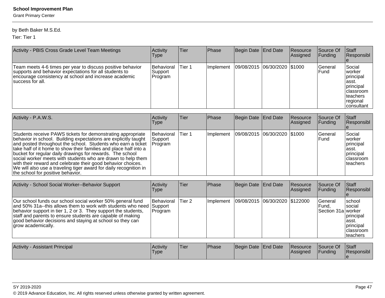Grant Primary Center

### by Beth Baker M.S.Ed.

Tier: Tier 1

| Activity - PBIS Cross Grade Level Team Meetings                                                                                                                                                    | Activity<br>Type                         | Tier   | Phase             | Begin Date End Date          | <b>Resource</b><br>Assigned | Source Of<br>IFundina   | Staff<br>Responsibl                                                                                                                |
|----------------------------------------------------------------------------------------------------------------------------------------------------------------------------------------------------|------------------------------------------|--------|-------------------|------------------------------|-----------------------------|-------------------------|------------------------------------------------------------------------------------------------------------------------------------|
| Team meets 4-6 times per year to discuss positive behavior<br>supports and behavior expectations for all students to<br>encourage consistency at school and increase academic<br>Isuccess for all. | <b>Behavioral</b><br> Support<br>Program | Tier 1 | <b>Ilmplement</b> | 09/08/2015 06/30/2020 \$1000 |                             | <b>Seneral</b><br>IFund | Social<br><b>Iworker</b><br>principal<br>∣asst.<br><i>Iprincipal</i><br><b>Iclassroom</b><br>Iteachers<br> regional<br> consultant |

| Activity - P.A.W.S.                                                                                                                                                                                                                                                                                                                                                                                                                                                                                                                                                        | Activity<br><b>Type</b>                 | Tier   | Phase             | Begin Date End Date          | Resource<br><b>Assigned</b> | Source Of<br> Funding   | Staff<br>Responsibl                                                              |
|----------------------------------------------------------------------------------------------------------------------------------------------------------------------------------------------------------------------------------------------------------------------------------------------------------------------------------------------------------------------------------------------------------------------------------------------------------------------------------------------------------------------------------------------------------------------------|-----------------------------------------|--------|-------------------|------------------------------|-----------------------------|-------------------------|----------------------------------------------------------------------------------|
| Students receive PAWS tickets for demonstrating appropriate<br>behavior in school. Building expectations are explicitly taught<br>and posted throughout the school. Students who earn a ticket<br>take half of it home to show their families and place half into a<br>bucket for regular daily drawings for rewards. The school<br>social worker meets with students who are drawn to help them<br>with their reward and celebrate their good behavior choices.<br>We will also use a traveling tiger award for daily recognition in<br>the school for positive behavior. | <b>Behavioral</b><br>Support<br>Program | Tier 1 | <b>Ilmplement</b> | 09/08/2015 06/30/2020 \$1000 |                             | lGeneral<br><b>Fund</b> | Social<br>Iworker<br>principal<br>lasst.<br>principal<br>Iclassroom<br>Iteachers |

| Activity - School Social Worker--Behavior Support                                                                                                                                                                                                                                                                                                     | Activity<br>Type      | Tier   | Phase     | Begin Date End Date              | Resource<br>Assigned | Source Of<br>Funding                           | <b>Staff</b><br>Responsibl                                                                |
|-------------------------------------------------------------------------------------------------------------------------------------------------------------------------------------------------------------------------------------------------------------------------------------------------------------------------------------------------------|-----------------------|--------|-----------|----------------------------------|----------------------|------------------------------------------------|-------------------------------------------------------------------------------------------|
| Our school funds our school social worker 50% general fund<br>and 50% 31a--this allows them to work with students who need Support<br>behavior support in tier 1, 2 or 3. They support the students,<br>staff and parents to ensure students are capable of making<br>good behavior decisions and staying at school so they can<br>grow academically. | Behavioral<br>Program | Tier 2 | Implement | 09/08/2015  06/30/2020  \$122000 |                      | <b>Seneral</b><br> Fund.<br>Section 31a worker | <b>school</b><br>Isocial<br> principal<br>lasst.<br> principal<br>Iclassroom<br>Iteachers |
| <b>Activity - Assistant Principal</b>                                                                                                                                                                                                                                                                                                                 | Activity<br>Type      | Tier   | Phase     | Begin Date End Date              | Resource<br>Assigned | Source Of<br>Funding                           | Staff<br><b>Responsibl</b>                                                                |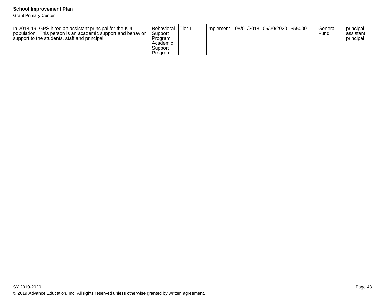Grant Primary Center

| In 2018-19, GPS hired an assistant principal for the K-4<br>population. This person is an academic support and behavior<br>support to the students, staff and principal. | <b>Behavioral</b><br> Support <br>Program.<br>Academic | Tier 1 | Implement   08/01/2018   06/30/2020   \$55000 |  | lGeneral<br>Fund | principal<br>lassistant<br><b>principal</b> |
|--------------------------------------------------------------------------------------------------------------------------------------------------------------------------|--------------------------------------------------------|--------|-----------------------------------------------|--|------------------|---------------------------------------------|
|                                                                                                                                                                          | Support                                                |        |                                               |  |                  |                                             |
|                                                                                                                                                                          | Program                                                |        |                                               |  |                  |                                             |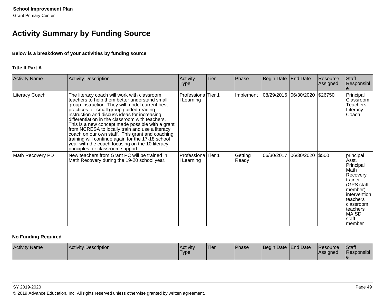## **Activity Summary by Funding Source**

### **Below is a breakdown of your activities by funding source**

### **Title II Part A**

| <b>Activity Name</b> | Activity Description                                                                                                                                                                                                                                                                                                                                                                                                                                                                                                                                                                                  | Activity<br><b>Type</b>          | Tier | Phase            | Begin Date            | <b>End Date</b> | Resource<br>Assigned | Staff<br>Responsibl                                                                                                                                                       |
|----------------------|-------------------------------------------------------------------------------------------------------------------------------------------------------------------------------------------------------------------------------------------------------------------------------------------------------------------------------------------------------------------------------------------------------------------------------------------------------------------------------------------------------------------------------------------------------------------------------------------------------|----------------------------------|------|------------------|-----------------------|-----------------|----------------------|---------------------------------------------------------------------------------------------------------------------------------------------------------------------------|
| Literacy Coach       | The literacy coach will work with classroom<br>teachers to help them better understand small<br>group instruction. They will model current best<br>practices for small group guided reading<br>instruction and discuss ideas for increasing<br>differentiation in the classroom with teachers.<br>This is a new concept made possible with a grant<br>from NCRESA to locally train and use a literacy<br>coach on our own staff. This grant and coaching<br>training will continue again for the 17-18 school<br>year with the coach focusing on the 10 literacy<br>principles for classroom support. | Professiona Tier 1<br>I Learning |      | Implement        | 08/29/2016 06/30/2020 |                 | \$26750              | Principal<br>Classroom<br><b>Teachers</b><br>Literacy<br>Coach                                                                                                            |
| Math Recovery PD     | New teachers from Grant PC will be trained in<br>Math Recovery during the 19-20 school year.                                                                                                                                                                                                                                                                                                                                                                                                                                                                                                          | Professiona Tier 1<br>l Learning |      | Getting<br>Ready | 06/30/2017            | 06/30/2020      | \$500                | principal<br>Asst.<br>Principal<br>Math<br>Recovery<br>trainer<br>(GPS staff<br>member)<br>intervention<br>teachers<br>classroom<br>teachers<br>MAISD<br>staff<br>Imember |

### **No Funding Required**

| <b>Activity Name</b> | <b>Activity Description</b> | <b>Activity</b><br><b>Type</b> | 'Tier | <sup>1</sup> Phase | Begin Date   End Date | <b>Resource</b><br><b>Assigned</b> | Staff<br>Responsibl |
|----------------------|-----------------------------|--------------------------------|-------|--------------------|-----------------------|------------------------------------|---------------------|
|                      |                             |                                |       |                    |                       |                                    |                     |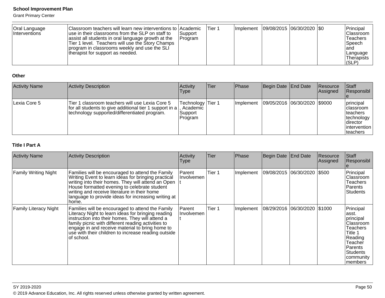Grant Primary Center

#### **Other**

| <b>Activity Name</b> | Activity Description                                                                                                                                              | Activity<br><b>Type</b>                               | Tier | <b>Phase</b>      | Begin Date   End Date        | Resource<br>Assigned | <b>Staff</b><br>Responsibl                                                                   |
|----------------------|-------------------------------------------------------------------------------------------------------------------------------------------------------------------|-------------------------------------------------------|------|-------------------|------------------------------|----------------------|----------------------------------------------------------------------------------------------|
| Lexia Core 5         | diclassroom teachers will use Lexia Core 5<br>Tier 1<br>  for all students to give additional tier 1 support in a<br>technology supported/differentiated program. | Technology   Tier 1<br>Academic<br>Support<br>Program |      | <b>Ilmplement</b> | 09/05/2016 06/30/2020 \$9000 |                      | principal<br>classroom<br> teachers<br>technology<br>Idirector<br>lintervention<br> teachers |

### **Title I Part A**

| <b>Activity Name</b>         | <b>Activity Description</b>                                                                                                                                                                                                                                                                                                              | Activity<br><b>Type</b> | <b>Tier</b> | Phase     | Begin Date                   | <b>End Date</b> | Resource<br>Assigned | <b>Staff</b><br>Responsibl                                                                                                                              |
|------------------------------|------------------------------------------------------------------------------------------------------------------------------------------------------------------------------------------------------------------------------------------------------------------------------------------------------------------------------------------|-------------------------|-------------|-----------|------------------------------|-----------------|----------------------|---------------------------------------------------------------------------------------------------------------------------------------------------------|
| <b>Family Writing Night</b>  | Families will be encouraged to attend the Family<br>Writing Event to learn ideas for bringing practical<br>writing into their homes. They will attend an Open<br>House formatted evening to celebrate student<br>writing and receive literature in their home<br>language to provide ideas for increasing writing at<br>home.            | Parent<br>Involvemen    | Tier 1      | Implement | 09/08/2015 06/30/2020 \$500  |                 |                      | Principal<br>Classroom<br><b>Teachers</b><br><b>Parents</b><br><b>Students</b>                                                                          |
| <b>Family Literacy Night</b> | Families will be encouraged to attend the Family<br>Literacy Night to learn ideas for bringing reading<br>instruction into their homes. They will attend a<br>family picnic with different reading activities to<br>engage in and receive material to bring home to<br>use with their children to increase reading outside<br>of school. | Parent<br>Involvemen    | Tier 1      | Implement | 08/29/2016 06/30/2020 \$1000 |                 |                      | Principal<br>asst.<br>principal<br>Classroom<br><b>Teachers</b><br>Title 1<br>Reading<br>Teacher<br>Parents<br><b>Students</b><br>community<br> members |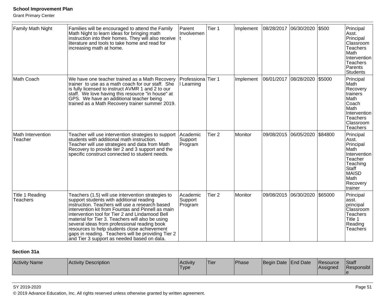Grant Primary Center

| Family Math Night                  | Families will be encouraged to attend the Family<br>Math Night to learn ideas for bringing math<br>instruction into their homes. They will also receive<br>literature and tools to take home and read for<br>increasing math at home.                                                                                                                                                                                                                                                                              | Parent<br>Involvemen           | Tier 1            | Implement      | 08/28/2017            | 06/30/2020            | \$500   | Principal<br>Asst.<br>Principal<br>Classroom<br><b>Teachers</b><br>Math<br>Intervention<br><b>Teachers</b><br>Parents<br><b>Students</b>      |
|------------------------------------|--------------------------------------------------------------------------------------------------------------------------------------------------------------------------------------------------------------------------------------------------------------------------------------------------------------------------------------------------------------------------------------------------------------------------------------------------------------------------------------------------------------------|--------------------------------|-------------------|----------------|-----------------------|-----------------------|---------|-----------------------------------------------------------------------------------------------------------------------------------------------|
| Math Coach                         | We have one teacher trained as a Math Recovery<br>trainer to use as a math coach for our staff. She<br>is fully licensed to instruct AVMR 1 and 2 to our<br>staff. We love having this resource "in house" at<br>GPS. We have an additional teacher being<br>trained as a Math Recovery trainer summer 2019.                                                                                                                                                                                                       | Professiona<br>I Learning      | Tier 1            | Implement      | 06/01/2017 08/28/2020 |                       | \$5000  | Principal<br>Math<br>Recovery<br>trainers<br>Math<br>Coach<br>Math<br>Intervention<br><b>Teachers</b><br>Classroom<br><b>Teachers</b>         |
| Math Intervention<br>Teacher       | Teacher will use intervention strategies to support<br>students with additional math instruction.<br>Teacher will use strategies and data from Math<br>Recovery to provide tier 2 and 3 support and the<br>specific construct connected to student needs.                                                                                                                                                                                                                                                          | Academic<br>Support<br>Program | Tier <sub>2</sub> | <b>Monitor</b> | 09/08/2015            | 06/05/2020            | \$84800 | Principal<br>Asst.<br>Principal<br>Math<br>Intervention<br>Teacher<br>Teaching<br><b>Staff</b><br><b>MAISD</b><br>Math<br>Recovery<br>trainer |
| Title 1 Reading<br><b>Teachers</b> | Teachers (1.5) will use intervention strategies to<br>support students with additional reading<br>instruction. Teachers will use a research based<br>intervention kit from Fountas and Pinnell as main<br>intervention tool for Tier 2 and Lindamood Bell<br>material for Tier 3. Teachers will also be using<br>several ideas from professional reading book<br>resources to help students close achievement<br>gaps in reading. Teachers will be providing Tier 2<br>and Tier 3 support as needed based on data. | Academic<br>Support<br>Program | Tier <sub>2</sub> | Monitor        |                       | 09/08/2015 06/30/2020 | \$65000 | Principal<br>asst.<br>principal<br>Classroom<br><b>Teachers</b><br>Title 1<br>Reading<br>Teachers                                             |

### **Section 31a**

| <b>Activity Name</b><br>Activity Description | <b>Activity</b><br>. .<br>Type | 'Tier | Phase | Begin Date   End Date |  | <b>IResource</b><br><b>Assigned</b> | <b>Staff</b><br>Responsibl |
|----------------------------------------------|--------------------------------|-------|-------|-----------------------|--|-------------------------------------|----------------------------|
|----------------------------------------------|--------------------------------|-------|-------|-----------------------|--|-------------------------------------|----------------------------|

#### SY 2019-2020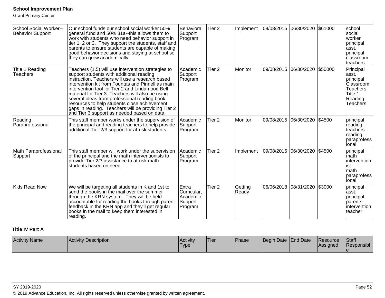Grant Primary Center

| <b>School Social Worker--</b><br><b>Behavior Support</b> | Our school funds our school social worker 50%<br>general fund and 50% 31a--this allows them to<br>work with students who need behavior support in<br>tier 1, 2 or 3. They support the students, staff and<br>parents to ensure students are capable of making<br>good behavior decisions and staying at school so<br>they can grow academically.                                                                                                                                                                   | Behavioral<br>Support<br>Program                       | Tier <sub>2</sub> | Implement        | 09/08/2015 06/30/2020 |                       | \$61000 | school<br>social<br>worker<br>principal<br>asst.<br>principal<br>Iclassroom<br>teachers                  |
|----------------------------------------------------------|--------------------------------------------------------------------------------------------------------------------------------------------------------------------------------------------------------------------------------------------------------------------------------------------------------------------------------------------------------------------------------------------------------------------------------------------------------------------------------------------------------------------|--------------------------------------------------------|-------------------|------------------|-----------------------|-----------------------|---------|----------------------------------------------------------------------------------------------------------|
| Title 1 Reading<br><b>Teachers</b>                       | Teachers (1.5) will use intervention strategies to<br>support students with additional reading<br>instruction. Teachers will use a research based<br>intervention kit from Fountas and Pinnell as main<br>intervention tool for Tier 2 and Lindamood Bell<br>material for Tier 3. Teachers will also be using<br>several ideas from professional reading book<br>resources to help students close achievement<br>gaps in reading. Teachers will be providing Tier 2<br>and Tier 3 support as needed based on data. | Academic<br>Support<br>Program                         | Tier <sub>2</sub> | Monitor          | 09/08/2015            | 06/30/2020            | \$50000 | Principal<br>asst.<br>principal<br>Classroom<br><b>Teachers</b><br>Title 1<br>Reading<br><b>Teachers</b> |
| Reading<br>Paraprofessional                              | This staff member works under the supervision of<br>the principal and reading teachers to help provide<br>additional Tier 2/3 support for at-risk students.                                                                                                                                                                                                                                                                                                                                                        | Academic<br>Support<br>Program                         | Tier <sub>2</sub> | Monitor          |                       | 09/08/2015 06/30/2020 | \$4500  | principal<br>reading<br>teachers<br>reading<br>paraprofess<br>ional                                      |
| Math Paraprofessional<br>Support                         | This staff member will work under the supervision<br>of the principal and the math interventionists to<br>provide Tier 2/3 assistance to at-risk math<br>students based on need.                                                                                                                                                                                                                                                                                                                                   | Academic<br>Support<br>Program                         | Tier <sub>2</sub> | Implement        | 09/08/2015 06/30/2020 |                       | \$4500  | principal<br>math<br>lintervention<br>list<br>math<br>paraprofess<br>lional                              |
| Kids Read Now                                            | We will be targeting all students in K and 1st to<br>send the books in the mail over the summer<br>through the KRN system. They will be held<br>accountable for reading the books through parent<br>feedback in the KRN app and they'll get regular<br>books in the mail to keep them interested in<br>reading.                                                                                                                                                                                                    | Extra<br>Curricular,<br>Academic<br>Support<br>Program | Tier 2            | Getting<br>Ready | 06/06/2018            | 08/31/2020            | \$3000  | principal<br>asst.<br>principal<br>Iparents<br>intervention<br>teacher                                   |

### **Title IV Part A**

| <b>Activity Name</b><br>Activity Description | Activity<br><sup>1</sup> Type | <b>Tier</b> | Phase | <i>Beain</i> | Date End Date | Resource<br><b>Assigned</b> | <b>Staff</b><br>Responsibl |
|----------------------------------------------|-------------------------------|-------------|-------|--------------|---------------|-----------------------------|----------------------------|
|----------------------------------------------|-------------------------------|-------------|-------|--------------|---------------|-----------------------------|----------------------------|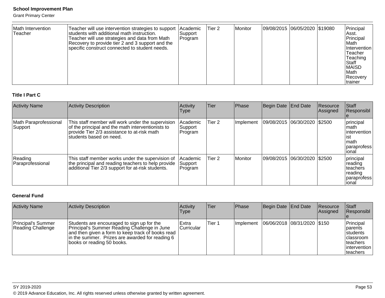Grant Primary Center

| Math Intervention<br>Teacher | Teacher will use intervention strategies to support   Academic<br>students with additional math instruction.<br>Teacher will use strategies and data from Math<br>Recovery to provide tier 2 and 3 support and the<br>specific construct connected to student needs. | Support<br>Program | lTier 2 | Monitor | 09/08/2015 06/05/2020 \$19080 |  | Principal<br>Asst.<br>Principal<br>l Math<br><b>Intervention</b><br>Teacher<br>Teaching<br>Staff<br><b>MAISD</b><br><b>Math</b> |
|------------------------------|----------------------------------------------------------------------------------------------------------------------------------------------------------------------------------------------------------------------------------------------------------------------|--------------------|---------|---------|-------------------------------|--|---------------------------------------------------------------------------------------------------------------------------------|
|                              |                                                                                                                                                                                                                                                                      |                    |         |         |                               |  | Recovery<br>Itrainer                                                                                                            |

### **Title I Part C**

| <b>Activity Name</b>             | <b>Activity Description</b>                                                                                                                                                       | Activity<br>Type               | <b>Tier</b>       | Phase          | Begin Date End Date            | Resource<br>Assigned | <b>Staff</b><br>Responsibl                                                   |
|----------------------------------|-----------------------------------------------------------------------------------------------------------------------------------------------------------------------------------|--------------------------------|-------------------|----------------|--------------------------------|----------------------|------------------------------------------------------------------------------|
| Math Paraprofessional<br>Support | This staff member will work under the supervision<br>of the principal and the math interventionists to<br>provide Tier 2/3 assistance to at-risk math<br>Istudents based on need. | Academic<br>Support<br>Program | Tier <sub>2</sub> | Implement      | 09/08/2015 06/30/2020 \$2500   |                      | principal<br>Imath<br>lintervention<br>ist<br>Imath<br>Iparaprofess<br>ional |
| Reading<br>Paraprofessional      | This staff member works under the supervision of<br>the principal and reading teachers to help provide<br>additional Tier 2/3 support for at-risk students.                       | Academic<br>Support<br>Program | Tier 2            | <b>Monitor</b> | 09/08/2015  06/30/2020  \$2500 |                      | principal<br>reading<br>Iteachers<br>reading<br>paraprofess<br>ional         |

### **General Fund**

| <b>Activity Name</b>                           | Activity Description                                                                                                                                                                                                             | Activity<br><b>Type</b> | Tier   | Phase | Begin Date End Date                         | <b>Resource</b><br>Assigned | <b>Staff</b><br>Responsibl                                                                         |
|------------------------------------------------|----------------------------------------------------------------------------------------------------------------------------------------------------------------------------------------------------------------------------------|-------------------------|--------|-------|---------------------------------------------|-----------------------------|----------------------------------------------------------------------------------------------------|
| <b>Principal's Summer</b><br>Reading Challenge | Students are encouraged to sign up for the<br>Principal's Summer Reading Challenge in June<br>and then given a form to keep track of books read<br>In the summer. Prizes are awarded for reading 6<br>books or reading 50 books. | Extra<br>Curricular     | Tier 1 |       | Implement   06/06/2018   08/31/2020   \$150 |                             | Principal<br>Iparents<br><b>Istudents</b><br>Iclassroom<br>Iteachers<br>lintervention<br>Iteachers |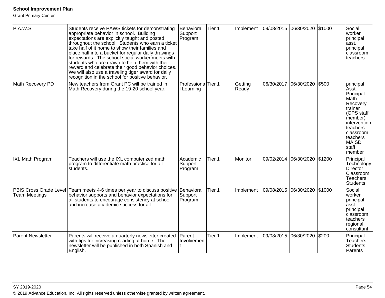Grant Primary Center

| P.A.W.S.                                       | Students receive PAWS tickets for demonstrating<br>appropriate behavior in school. Building<br>expectations are explicitly taught and posted<br>throughout the school. Students who earn a ticket<br>take half of it home to show their families and<br>place half into a bucket for regular daily drawings<br>for rewards. The school social worker meets with<br>students who are drawn to help them with their<br>reward and celebrate their good behavior choices.<br>We will also use a traveling tiger award for daily<br>recognition in the school for positive behavior. | Behavioral<br>Support<br>Program | Tier 1 | Implement        | 09/08/2015 06/30/2020 |            | \$1000 | Social<br>worker<br>principal<br>asst.<br>principal<br>classroom<br>teachers                                                                                                    |
|------------------------------------------------|----------------------------------------------------------------------------------------------------------------------------------------------------------------------------------------------------------------------------------------------------------------------------------------------------------------------------------------------------------------------------------------------------------------------------------------------------------------------------------------------------------------------------------------------------------------------------------|----------------------------------|--------|------------------|-----------------------|------------|--------|---------------------------------------------------------------------------------------------------------------------------------------------------------------------------------|
| Math Recovery PD                               | New teachers from Grant PC will be trained in<br>Math Recovery during the 19-20 school year.                                                                                                                                                                                                                                                                                                                                                                                                                                                                                     | Professiona Tier 1<br>I Learning |        | Getting<br>Ready | 06/30/2017 06/30/2020 |            | \$500  | principal<br>Asst.<br>Principal<br>Math<br>Recovery<br>trainer<br>(GPS staff<br>member)<br>intervention<br>teachers<br>classroom<br>teachers<br><b>MAISD</b><br>staff<br>member |
| <b>IXL Math Program</b>                        | Teachers will use the IXL computerized math<br>program to differentiate math practice for all<br>students.                                                                                                                                                                                                                                                                                                                                                                                                                                                                       | Academic<br>Support<br>Program   | Tier 1 | Monitor          | 09/02/2014            | 06/30/2020 | \$1200 | Principal<br>Technology<br>Director<br>Classroom<br><b>Teachers</b><br><b>Students</b>                                                                                          |
| PBIS Cross Grade Level<br><b>Team Meetings</b> | Team meets 4-6 times per year to discuss positive<br>behavior supports and behavior expectations for<br>all students to encourage consistency at school<br>and increase academic success for all.                                                                                                                                                                                                                                                                                                                                                                                | Behavioral<br>Support<br>Program | Tier 1 | Implement        | 09/08/2015            | 06/30/2020 | \$1000 | Social<br>worker<br>principal<br>asst.<br>principal<br>classroom<br>teachers<br>regional<br>consultant                                                                          |
| <b>Parent Newsletter</b>                       | Parents will receive a quarterly newsletter created<br>with tips for increasing reading at home. The<br>newsletter will be published in both Spanish and<br>English.                                                                                                                                                                                                                                                                                                                                                                                                             | Parent<br>Involvemen             | Tier 1 | Implement        | 09/08/2015 06/30/2020 |            | \$200  | Principal<br><b>Teachers</b><br><b>Students</b><br>Parents                                                                                                                      |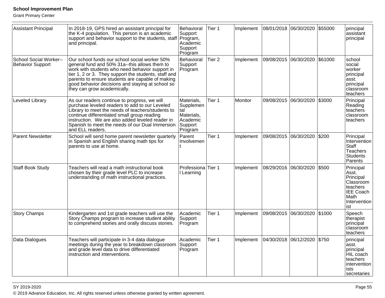Grant Primary Center

| <b>Assistant Principal</b>                               | In 2018-19, GPS hired an assistant principal for<br>the K-4 population. This person is an academic<br>support and behavior support to the students, staff Program,<br>and principal.                                                                                                                                                             | Behavioral<br>Support<br>Academic<br>Support<br>Program                        | Tier 1 | Implement | 08/01/2018 06/30/2020 |                       | \$55000 | principal<br>assistant<br>principal                                                                         |
|----------------------------------------------------------|--------------------------------------------------------------------------------------------------------------------------------------------------------------------------------------------------------------------------------------------------------------------------------------------------------------------------------------------------|--------------------------------------------------------------------------------|--------|-----------|-----------------------|-----------------------|---------|-------------------------------------------------------------------------------------------------------------|
| <b>School Social Worker--</b><br><b>Behavior Support</b> | Our school funds our school social worker 50%<br>general fund and 50% 31a--this allows them to<br>work with students who need behavior support in<br>tier 1, 2 or 3. They support the students, staff and<br>parents to ensure students are capable of making<br>good behavior decisions and staying at school so<br>they can grow academically. | Behavioral<br>Support<br>Program                                               | Tier 2 | Implement | 09/08/2015 06/30/2020 |                       | \$61000 | school<br>social<br>worker<br>principal<br>asst.<br>principal<br>classroom<br>teachers                      |
| Leveled Library                                          | As our readers continue to progress, we will<br>purchase leveled readers to add to our Leveled<br>Library to meet the needs of teachers/students to<br>continue differentiated small group reading<br>instruction. We are also added leveled reader in<br>Spanish to meet the needs of our Dual Immersion<br>and ELL readers.                    | Materials,<br>Supplemen<br>tal<br>Materials,<br>Academic<br>Support<br>Program | Tier 1 | Monitor   |                       | 09/08/2015 06/30/2020 | \$3000  | Principal<br>Reading<br>teachers<br>classroom<br>teachers                                                   |
| <b>Parent Newsletter</b>                                 | School will send home parent newsletter quarterly<br>in Spanish and English sharing math tips for<br>parents to use at home.                                                                                                                                                                                                                     | Parent<br>Involvemen                                                           | Tier 1 | Implement | 09/08/2015            | 06/30/2020            | \$200   | Principal<br>Intervention<br>Staff<br><b>Teachers</b><br><b>Students</b><br>Parents                         |
| <b>Staff Book Study</b>                                  | Teachers will read a math instructional book<br>chosen by their grade level PLC to increase<br>understanding of math instructional practices.                                                                                                                                                                                                    | Professiona<br>I Learning                                                      | Tier 1 | Implement | 08/29/2016 06/30/2020 |                       | \$500   | Principal<br>Asst.<br>Principal<br>Classroom<br>teachers<br><b>IEE Coach</b><br>Math<br>Intervention<br>ist |
| <b>Story Champs</b>                                      | Kindergarten and 1st grade teachers will use the<br>Story Champs program to increase student ability<br>to comprehend stories and orally discuss stories.                                                                                                                                                                                        | Academic<br>Support<br>Program                                                 | Tier 1 | Implement | 09/08/2015            | 06/30/2020            | \$1000  | Speech<br>therapist<br>principal<br>classroom<br>teachers                                                   |
| Data Dialogues                                           | Teachers will participate in 3-4 data dialogue<br>meetings during the year to breakdown classroom<br>and grade level data to drive differentiated<br>instruction and interventions.                                                                                                                                                              | Academic<br>Support<br>Program                                                 | Tier 1 | Implement | 04/30/2018 06/12/2020 |                       | \$750   | principal<br>asst.<br>principal<br>HIL coach<br>teachers<br>intervention<br>lists<br> secretaries           |